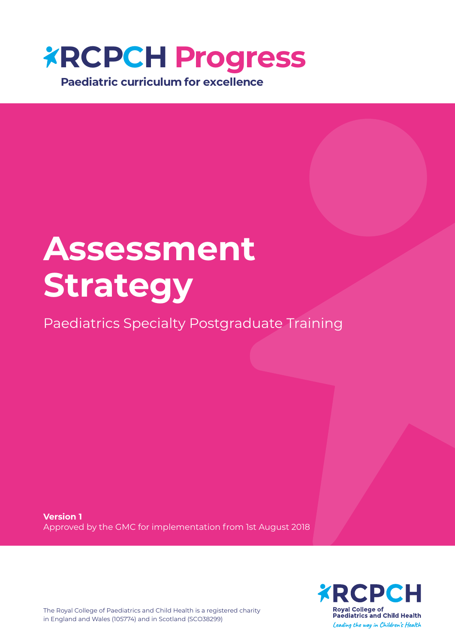

# **Assessment Strategy**

Paediatrics Specialty Postgraduate Training

**Version 1** Approved by the GMC for implementation from 1st August 2018



The Royal College of Paediatrics and Child Health is a registered charity in England and Wales (105774) and in Scotland (SCO38299)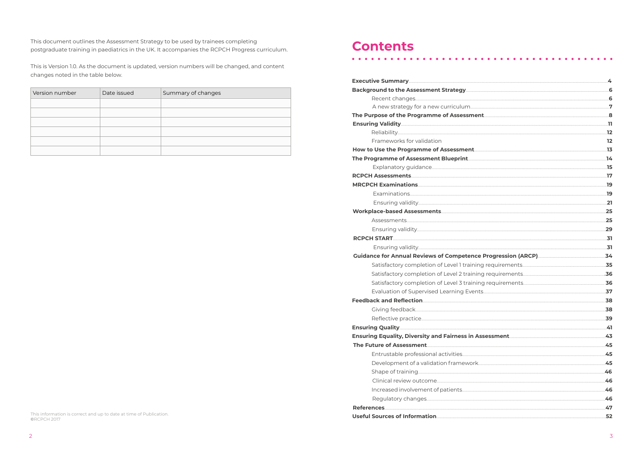This document outlines the Assessment Strategy to be used by trainees completing postgraduate training in paediatrics in the UK. It accompanies the RCPCH Progress curriculum.

This is Version 1.0. As the document is updated, version numbers will be changed, and content changes noted in the table below.

| Version number | Date issued | Summary of changes |  |  |  |  |  |  |
|----------------|-------------|--------------------|--|--|--|--|--|--|
|                |             |                    |  |  |  |  |  |  |
|                |             |                    |  |  |  |  |  |  |
|                |             |                    |  |  |  |  |  |  |
|                |             |                    |  |  |  |  |  |  |
|                |             |                    |  |  |  |  |  |  |
|                |             |                    |  |  |  |  |  |  |

### **Contents**

 $\bullet$   $\bullet$   $\bullet$ 

| Background to the Assessment Strategy                     |
|-----------------------------------------------------------|
|                                                           |
| A new strategy for a new curriculum                       |
| The Purpose of the Programme of Assessment                |
|                                                           |
|                                                           |
| Frameworks for validation                                 |
| How to Use the Programme of Assessment                    |
| The Programme of Assessment Blueprint                     |
|                                                           |
|                                                           |
|                                                           |
|                                                           |
|                                                           |
|                                                           |
|                                                           |
|                                                           |
|                                                           |
|                                                           |
| <b>Guidance for Annual Reviews of Competence Pr</b>       |
| Satisfactory completion of Level 1 training re            |
| Satisfactory completion of Level 2 training re            |
| Satisfactory completion of Level 3 training re            |
| Evaluation of Supervised Learning Events                  |
|                                                           |
|                                                           |
|                                                           |
|                                                           |
| <b>Ensuring Equality, Diversity and Fairness in Asset</b> |
|                                                           |
| Entrustable professional activities                       |
| Development of a validation framework                     |
|                                                           |
|                                                           |
| Increased involvement of patients                         |
|                                                           |
|                                                           |

This information is correct and up to date at time of Publication.<br>©RCPCH 2017

|                       | 4     |
|-----------------------|-------|
|                       |       |
|                       |       |
|                       |       |
|                       |       |
|                       |       |
|                       |       |
|                       | 12    |
|                       |       |
|                       |       |
|                       |       |
|                       |       |
|                       |       |
|                       |       |
|                       |       |
|                       |       |
|                       |       |
|                       |       |
|                       |       |
|                       |       |
| Progression (ARCP) 24 |       |
|                       |       |
|                       |       |
|                       |       |
|                       |       |
|                       |       |
|                       |       |
|                       | 38    |
|                       | .39   |
|                       |       |
|                       |       |
|                       |       |
|                       | $-45$ |
|                       |       |
|                       |       |
|                       |       |
|                       |       |
|                       |       |
|                       |       |
|                       |       |

 $\bullet$   $\bullet$   $\bullet$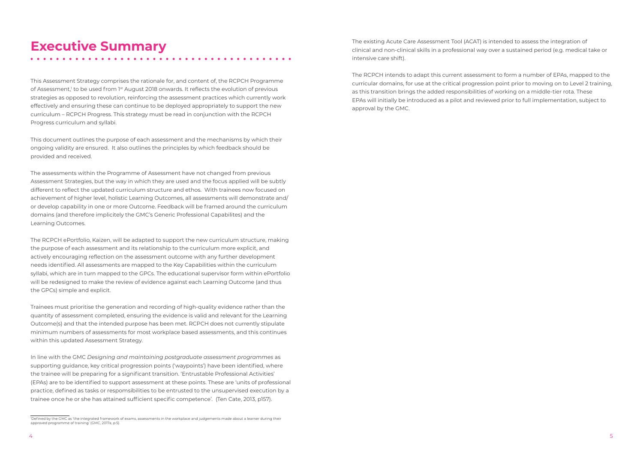### **Executive Summary**

This Assessment Strategy comprises the rationale for, and content of, the RCPCH Programme of Assessment,<sup>1</sup> to be used from 1<sup>st</sup> August 2018 onwards. It reflects the evolution of previous strategies as opposed to revolution, reinforcing the assessment practices which currently work effectively and ensuring these can continue to be deployed appropriately to support the new curriculum – RCPCH Progress. This strategy must be read in conjunction with the RCPCH Progress curriculum and syllabi.

This document outlines the purpose of each assessment and the mechanisms by which their ongoing validity are ensured. It also outlines the principles by which feedback should be provided and received.

The assessments within the Programme of Assessment have not changed from previous Assessment Strategies, but the way in which they are used and the focus applied will be subtly different to reflect the updated curriculum structure and ethos. With trainees now focused on achievement of higher level, holistic Learning Outcomes, all assessments will demonstrate and/ or develop capability in one or more Outcome. Feedback will be framed around the curriculum domains (and therefore implicitely the GMC's Generic Professional Capabilites) and the Learning Outcomes.

The RCPCH ePortfolio, Kaizen, will be adapted to support the new curriculum structure, making the purpose of each assessment and its relationship to the curriculum more explicit, and actively encouraging reflection on the assessment outcome with any further development needs identified. All assessments are mapped to the Key Capabilities within the curriculum syllabi, which are in turn mapped to the GPCs. The educational supervisor form within ePortfolio will be redesigned to make the review of evidence against each Learning Outcome (and thus the GPCs) simple and explicit.

Trainees must prioritise the generation and recording of high-quality evidence rather than the quantity of assessment completed, ensuring the evidence is valid and relevant for the Learning Outcome(s) and that the intended purpose has been met. RCPCH does not currently stipulate minimum numbers of assessments for most workplace based assessments, and this continues within this updated Assessment Strategy.

In line with the GMC *Designing and maintaining postgraduate assessment programmes* as supporting guidance, key critical progression points ('waypoints') have been identified, where the trainee will be preparing for a significant transition. 'Entrustable Professional Activities' (EPAs) are to be identified to support assessment at these points. These are 'units of professional practice, defined as tasks or respomsibilities to be entrusted to the unsupervised execution by a trainee once he or she has attained sufficient specific competence'. (Ten Cate, 2013, p157).

The existing Acute Care Assessment Tool (ACAT) is intended to assess the integration of clinical and non-clinical skills in a professional way over a sustained period (e.g. medical take or intensive care shift).

The RCPCH intends to adapt this current assessment to form a number of EPAs, mapped to the curricular domains, for use at the critical progression point prior to moving on to Level 2 training, as this transition brings the added responsibilities of working on a middle-tier rota. These EPAs will initially be introduced as a pilot and reviewed prior to full implementation, subject to approval by the GMC.

<sup>1</sup> Defined by the GMC as 'the integrated framework of exams, assessments in the workplace and judgements made about a learner during their approved programme of training' (GMC, 2017a, p.5).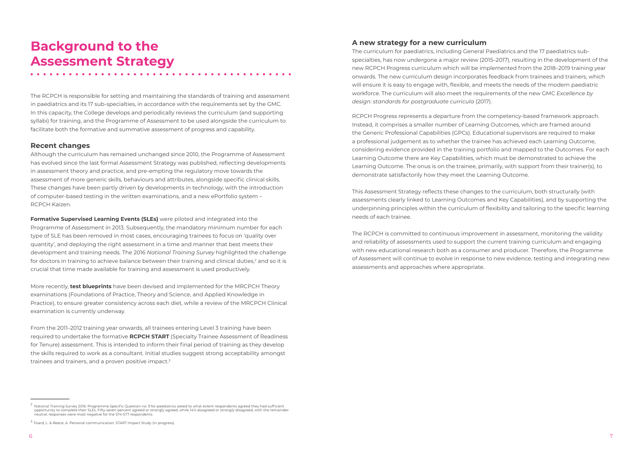### **Background to the Assessment Strategy**

The RCPCH is responsible for setting and maintaining the standards of training and assessment in paediatrics and its 17 sub-specialties, in accordance with the requirements set by the GMC. In this capacity, the College develops and periodically reviews the curriculum (and supporting syllabi) for training, and the Programme of Assessment to be used alongside the curriculum to facilitate both the formative and summative assessment of progress and capability.

#### **Recent changes**

Although the curriculum has remained unchanged since 2010, the Programme of Assessment has evolved since the last formal Assessment Strategy was published, reflecting developments in assessment theory and practice, and pre-empting the regulatory move towards the assessment of more generic skills, behaviours and attributes, alongside specific clinical skills. These changes have been partly driven by developments in technology, with the introduction of computer-based testing in the written examinations, and a new ePortfolio system – RCPCH Kaizen.

**Formative Supervised Learning Events (SLEs)** were piloted and integrated into the Programme of Assessment in 2013. Subsequently, the mandatory minimum number for each type of SLE has been removed in most cases, encouraging trainees to focus on 'quality over quantity', and deploying the right assessment in a time and manner that best meets their development and training needs. The 2016 *National Training Survey* highlighted the challenge for doctors in training to achieve balance between their training and clinical duties, $^2$  and so it is crucial that time made available for training and assessment is used productively.

More recently, **test blueprints** have been devised and implemented for the MRCPCH Theory examinations (Foundations of Practice, Theory and Science, and Applied Knowledge in Practice), to ensure greater consistency across each diet, while a review of the MRCPCH Clinical examination is currently underway.

From the 2011–2012 training year onwards, all trainees entering Level 3 training have been required to undertake the formative **RCPCH START** (Specialty Trainee Assessment of Readiness for Tenure) assessment. This is intended to inform their final period of training as they develop the skills required to work as a consultant. Initial studies suggest strong acceptability amongst trainees and trainers, and a proven positive impact.3

### **A new strategy for a new curriculum**

The curriculum for paediatrics, including General Paediatrics and the 17 paediatrics subspecialties, has now undergone a major review (2015–2017), resulting in the development of the new RCPCH Progress curriculum which will be implemented from the 2018–2019 training year onwards. The new curriculum design incorporates feedback from trainees and trainers, which will ensure it is easy to engage with, flexible, and meets the needs of the modern paediatric workforce. The curriculum will also meet the requirements of the new GMC *Excellence by design: standards for postgraduate curricula* (2017).

RCPCH Progress represents a departure from the competency-based framework approach. Instead, it comprises a smaller number of Learning Outcomes, which are framed around the Generic Professional Capabilities (GPCs). Educational supervisors are required to make a professional judgement as to whether the trainee has achieved each Learning Outcome, considering evidence provided in the training portfolio and mapped to the Outcomes. For each Learning Outcome there are Key Capabilities, which must be demonstrated to achieve the Learning Outcome. The onus is on the trainee, primarily, with support from their trainer(s), to demonstrate satisfactorily how they meet the Learning Outcome.

This Assessment Strategy reflects these changes to the curriculum, both structurally (with assessments clearly linked to Learning Outcomes and Key Capabilities), and by supporting the underpinning principles within the curriculum of flexibility and tailoring to the specific learning needs of each trainee.

The RCPCH is committed to continuous improvement in assessment, monitoring the validity and reliability of assessments used to support the current training curriculum and engaging with new educational research both as a consumer and producer. Therefore, the Programme of Assessment will continue to evolve in response to new evidence, testing and integrating new assessments and approaches where appropriate.

 $^2$  National Training Survey 2016: Programme Specific Question no. 9 for paediatrics asked to what extent respondents agreed they had sufficient opportunity to complete their SLEs. Fifty-seven percent agreed or strongly agreed, while 14% disagreed or strongly disagreed, with the remainder neutral; responses were most negative for the ST4-ST7 respondents.

<sup>3</sup> Foard, L. & Reece, A. Personal communication. START Impact Study (in progress).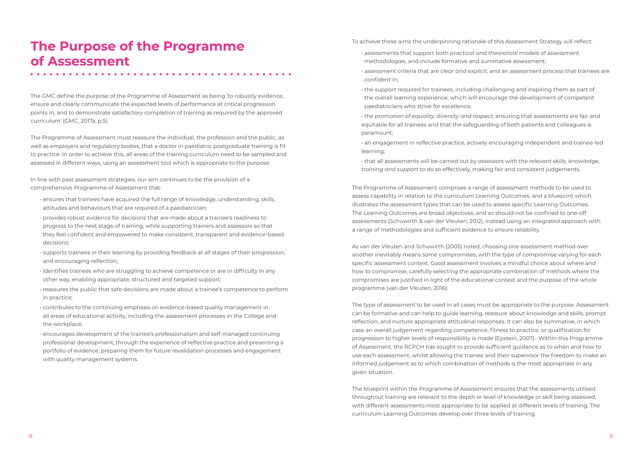### **The Purpose of the Programme of Assessment**

The GMC define the purpose of the Programme of Assessment as being 'to robustly evidence, ensure and clearly communicate the expected levels of performance at critical progression points in, and to demonstrate satisfactory completion of training as required by the approved curriculum' (GMC, 2017a, p.5).

The Programme of Assessment must reassure the individual, the profession and the public, as well as employers and regulatory bodies, that a doctor in paediatric postgraduate training is fit to practice. In order to achieve this, all areas of the training curriculum need to be sampled and assessed in different ways, using an assessment tool which is appropriate to the purpose.

In line with past assessment strategies, our aim continues to be the provision of a comprehensive Programme of Assessment that:

- ensures that trainees have acquired the full range of knowledge, understanding, skills, attitudes and behaviours that are required of a paediatrician;
- provides robust evidence for decisions that are made about a trainee's readiness to progress to the next stage of training, while supporting trainers and assessors so that they feel confident and empowered to make consistent, transparent and evidence-based decisions;
- supports trainees in their learning by providing feedback at all stages of their progression, and encouraging reflection;
- identifies trainees who are struggling to achieve competence or are in difficulty in any other way, enabling appropriate, structured and targeted support;
- reassures the public that safe decisions are made about a trainee's competence to perform in practice;
- contributes to the continuing emphasis on evidence-based quality management in all areas of educational activity, including the assessment processes in the College and the workplace;
- encourages development of the trainee's professionalism and self-managed continuing professional development, through the experience of reflective practice and presenting a portfolio of evidence, preparing them for future revalidation processes and engagement with quality management systems.

To achieve these aims the underpinning rationale of this Assessment Strategy will reflect:

- assessments that support both *practical and theoretical* models of assessment methodologies, and include formative and summative assessment;
- assessment criteria that are *clear and explicit*, and an assessment process that trainees are *confident* in;
- the *support* required for trainees, including challenging and inspiring them as part of the overall learning experience, which will encourage the development of competent paediatricians who strive for excellence;
- the *promotion of equality, diversity and respect*, ensuring that assessments are fair and equitable for all trainees and that the safeguarding of both patients and colleagues is paramount;
- an engagement in *reflective* practice, actively encouraging independent and trainee-led learning;
- that all assessments will be carried out by *assessors with the relevant skills, knowledge, training and support* to do so effectively, making fair and consistent judgements.

The Programme of Assessment comprises a range of assessment methods to be used to assess capability in relation to the curriculum Learning Outcomes, and a blueprint which illustrates the assessment types that can be used to assess specific Learning Outcomes. The Learning Outcomes are broad objectives, and so should not be confined to one-off assessments (Schuwirth & van der Vleuten, 2012), instead using an integrated approach with a range of methodologies and sufficient evidence to ensure reliability.

As van der Vleuten and Schuwirth (2005) noted, choosing one assessment method over another inevitably means some compromises, with the type of compromise varying for each specific assessment context. Good assessment involves a mindful choice about where and how to compromise, carefully selecting the appropriate combination of methods where the compromises are justified in light of the educational context and the purpose of the whole programme (van der Vleuten, 2016).

The type of assessment to be used in all cases must be appropriate to the purpose. Assessment can be formative and can help to guide learning, reassure about knowledge and skills, prompt reflection, and nurture appropriate attitudinal responses. It can also be summative, in which case an overall judgement regarding competence, fitness to practice, or qualification for progression to higher levels of responsibility is made (Epstein, 2007). Within this Programme of Assessment, the RCPCH has sought to provide sufficient guidance as to when and how to use each assessment, whilst allowing the trainee and their supervisor the freedom to make an informed judgement as to which combination of methods is the most appropriate in any given situation.

The blueprint within the Programme of Assessment ensures that the assessments utilised throughout training are relevant to the depth or level of knowledge or skill being assessed, with different assessments most appropriate to be applied at different levels of training. The curriculum Learning Outcomes develop over three levels of training.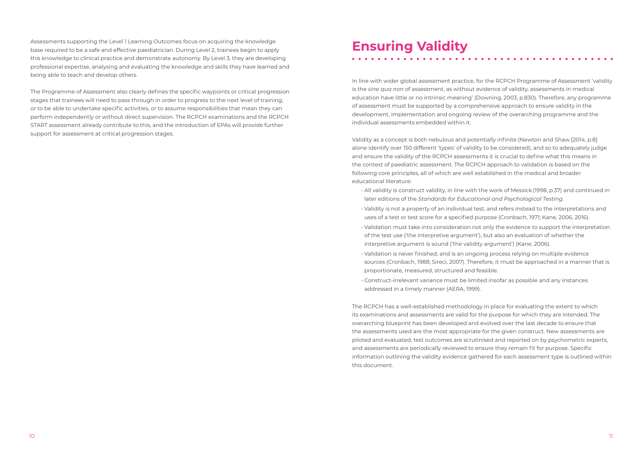Assessments supporting the Level 1 Learning Outcomes focus on acquiring the knowledge base required to be a safe and effective paediatrician. During Level 2, trainees begin to apply this knowledge to clinical practice and demonstrate autonomy. By Level 3, they are developing professional expertise, analysing and evaluating the knowledge and skills they have learned and being able to teach and develop others.

The Programme of Assessment also clearly defines the specific waypoints or critical progression stages that trainees will need to pass through in order to progress to the next level of training, *or* to be able to undertake specific activities, *or* to assume responsibilities that mean they can perform independently or without direct supervision. The RCPCH examinations and the RCPCH START assessment already contribute to this, and the introduction of EPAs will provide further support for assessment at critical progression stages.

# **Ensuring Validity**

In line with wider global assessment practice, for the RCPCH Programme of Assessment 'validity is the *sine qua non* of assessment, as without evidence of validity, assessments in medical education have little or no intrinsic meaning' (Downing, 2003, p.830). Therefore, any programme of assessment must be supported by a comprehensive approach to ensure validity in the development, implementation and ongoing review of the overarching programme and the individual assessments embedded within it.

Validity as a concept is both nebulous and potentially infinite (Newton and Shaw [2014, p.8] alone identify over 150 different 'types' of validity to be considered), and so to adequately judge and ensure the validity of the RCPCH assessments it is crucial to define what this means in the context of paediatric assessment. The RCPCH approach to validation is based on the following core principles, all of which are well established in the medical and broader educational literature:

- All validity is construct validity, in line with the work of Messick (1998, p.37) and continued in later editions of the *Standards for Educational and Psychological Testing*.
- Validity is not a property of an individual test, and refers instead to the interpretations and uses of a test or test score for a specified purpose (Cronbach, 1971; Kane, 2006, 2016).
- Validation must take into consideration not only the evidence to support the interpretation of the test use ('the interpretive argument'), but also an evaluation of whether the interpretive argument is sound ('the validity argument') (Kane, 2006).
- Validation is never finished, and is an ongoing process relying on multiple evidence sources (Cronbach, 1988; Sireci, 2007). Therefore, it must be approached in a manner that is proportionate, measured, structured and feasible.
- Construct-irrelevant variance must be limited insofar as possible and any instances addressed in a timely manner (AERA, 1999).

The RCPCH has a well-established methodology in place for evaluating the extent to which its examinations and assessments are valid for the purpose for which they are intended. The overarching blueprint has been developed and evolved over the last decade to ensure that the assessments used are the most appropriate for the given construct. New assessments are piloted and evaluated, test outcomes are scrutinised and reported on by psychometric experts, and assessments are periodically reviewed to ensure they remain fit for purpose. Specific information outlining the validity evidence gathered for each assessment type is outlined within this document.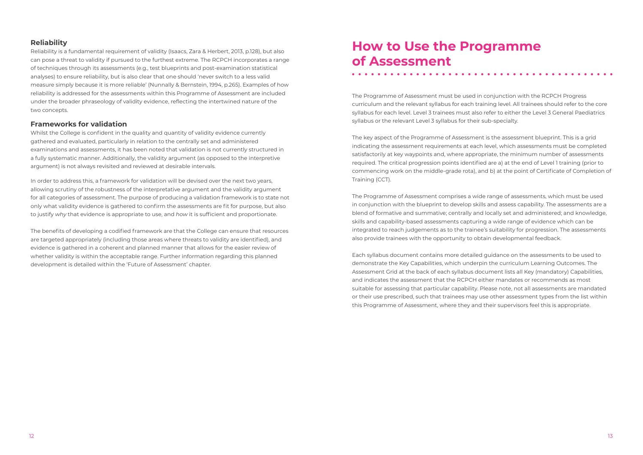#### **Reliability**

Reliability is a fundamental requirement of validity (Isaacs, Zara & Herbert, 2013, p.128), but also can pose a threat to validity if pursued to the furthest extreme. The RCPCH incorporates a range of techniques through its assessments (e.g., test blueprints and post-examination statistical analyses) to ensure reliability, but is also clear that one should 'never switch to a less valid measure simply because it is more reliable' (Nunnally & Bernstein, 1994, p.265). Examples of how reliability is addressed for the assessments within this Programme of Assessment are included under the broader phraseology of validity evidence, reflecting the intertwined nature of the two concepts.

#### **Frameworks for validation**

Whilst the College is confident in the quality and quantity of validity evidence currently gathered and evaluated, particularly in relation to the centrally set and administered examinations and assessments, it has been noted that validation is not currently structured in a fully systematic manner. Additionally, the validity argument (as opposed to the interpretive argument) is not always revisited and reviewed at desirable intervals.

In order to address this, a framework for validation will be devised over the next two years, allowing scrutiny of the robustness of the interpretative argument and the validity argument for all categories of assessment. The purpose of producing a validation framework is to state not only what validity evidence is gathered to confirm the assessments are fit for purpose, but also to justify *why* that evidence is appropriate to use, and *how* it is sufficient and proportionate.

The benefits of developing a codified framework are that the College can ensure that resources are targeted appropriately (including those areas where threats to validity are identified), and evidence is gathered in a coherent and planned manner that allows for the easier review of whether validity is within the acceptable range. Further information regarding this planned development is detailed within the 'Future of Assessment' chapter.

### **How to Use the Programme of Assessment**

The Programme of Assessment must be used in conjunction with the RCPCH Progress curriculum and the relevant syllabus for each training level. All trainees should refer to the core syllabus for each level. Level 3 trainees must also refer to either the Level 3 General Paediatrics syllabus or the relevant Level 3 syllabus for their sub-specialty.

The key aspect of the Programme of Assessment is the assessment blueprint. This is a grid indicating the assessment requirements at each level, which assessments must be completed satisfactorily at key waypoints and, where appropriate, the minimum number of assessments required. The critical progression points identified are a) at the end of Level 1 training (prior to commencing work on the middle-grade rota), and b) at the point of Certificate of Completion of Training (CCT).

The Programme of Assessment comprises a wide range of assessments, which must be used in conjunction with the blueprint to develop skills and assess capability. The assessments are a blend of formative and summative; centrally and locally set and administered; and knowledge, skills and capability-based assessments capturing a wide range of evidence which can be integrated to reach judgements as to the trainee's suitability for progression. The assessments also provide trainees with the opportunity to obtain developmental feedback.

Each syllabus document contains more detailed guidance on the assessments to be used to demonstrate the Key Capabilities, which underpin the curriculum Learning Outcomes. The Assessment Grid at the back of each syllabus document lists all Key (mandatory) Capabilities, and indicates the assessment that the RCPCH either mandates or recommends as most suitable for assessing that particular capability. Please note, not all assessments are mandated or their use prescribed, such that trainees may use other assessment types from the list within this Programme of Assessment, where they and their supervisors feel this is appropriate.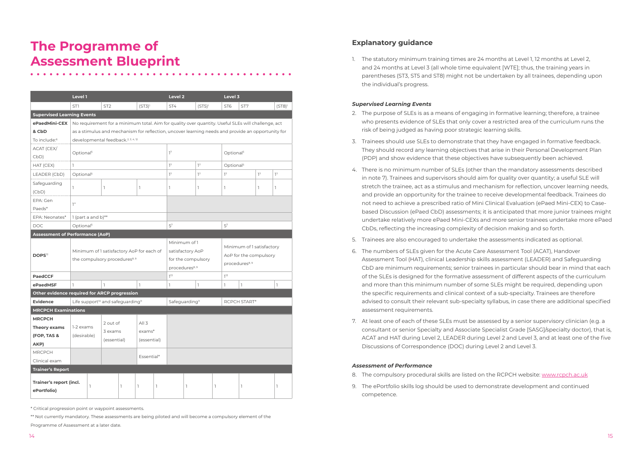## **The Programme of Assessment Blueprint**

|                                              | Level 1               |                                                                                                   |                        |                                                                                        |                |  |                                                                                      | Level 2 |              |                                                                                                    |                                                                                  | Level 3         |       |                      |  |  |  |
|----------------------------------------------|-----------------------|---------------------------------------------------------------------------------------------------|------------------------|----------------------------------------------------------------------------------------|----------------|--|--------------------------------------------------------------------------------------|---------|--------------|----------------------------------------------------------------------------------------------------|----------------------------------------------------------------------------------|-----------------|-------|----------------------|--|--|--|
|                                              | ST1                   |                                                                                                   | ST <sub>2</sub>        |                                                                                        | $(ST3)^1$      |  | ST4                                                                                  |         |              | $(ST5)^1$                                                                                          |                                                                                  | ST <sub>7</sub> |       | $(ST8)$ <sup>1</sup> |  |  |  |
| <b>Supervised Learning Events</b>            |                       |                                                                                                   |                        |                                                                                        |                |  |                                                                                      |         |              |                                                                                                    |                                                                                  |                 |       |                      |  |  |  |
| ePaedMini-CEX                                |                       |                                                                                                   |                        |                                                                                        |                |  |                                                                                      |         |              | No requirement for a minimum total. Aim for quality over quantity. Useful SLEs will challenge, act |                                                                                  |                 |       |                      |  |  |  |
| & CbD                                        |                       | as a stimulus and mechanism for reflection, uncover learning needs and provide an opportunity for |                        |                                                                                        |                |  |                                                                                      |         |              |                                                                                                    |                                                                                  |                 |       |                      |  |  |  |
| To include:6                                 |                       |                                                                                                   |                        | developmental feedback. <sup>2, 3, 4, 12</sup>                                         |                |  |                                                                                      |         |              |                                                                                                    |                                                                                  |                 |       |                      |  |  |  |
| ACAT (CEX/<br>CbD)                           | Optional <sup>5</sup> |                                                                                                   |                        |                                                                                        |                |  | 1 <sup>7</sup>                                                                       |         |              |                                                                                                    | Optional <sup>5</sup>                                                            |                 |       |                      |  |  |  |
| HAT (CEX)                                    | <b>T</b>              |                                                                                                   |                        |                                                                                        |                |  | 1 <sup>7</sup>                                                                       | $1^7$   |              |                                                                                                    | Optional <sup>5</sup>                                                            |                 |       |                      |  |  |  |
| LEADER (CbD)                                 | Optional <sup>5</sup> |                                                                                                   |                        |                                                                                        |                |  | 1 <sup>7</sup>                                                                       |         | $1^7$        |                                                                                                    | 1 <sup>7</sup>                                                                   |                 | $1^7$ | 1 <sup>7</sup>       |  |  |  |
| Safeguarding<br>(CbD)                        | $\mathbb{I}$          |                                                                                                   | 1                      |                                                                                        | $\mathbb{I}$   |  | T                                                                                    |         | 1            |                                                                                                    | $\mathbb{I}$                                                                     |                 | 1     | 1                    |  |  |  |
| EPA: Gen<br>Paeds*                           | $1^{**}$              |                                                                                                   |                        |                                                                                        |                |  |                                                                                      |         |              |                                                                                                    |                                                                                  |                 |       |                      |  |  |  |
| EPA: Neonates*                               | 1 (part a and b)**    |                                                                                                   |                        |                                                                                        |                |  |                                                                                      |         |              |                                                                                                    |                                                                                  |                 |       |                      |  |  |  |
| <b>DOC</b>                                   | Optional <sup>5</sup> |                                                                                                   |                        |                                                                                        |                |  | 5 <sup>7</sup>                                                                       |         |              |                                                                                                    | 5 <sup>7</sup>                                                                   |                 |       |                      |  |  |  |
| <b>Assessment of Performance (AoP)</b>       |                       |                                                                                                   |                        |                                                                                        |                |  |                                                                                      |         |              |                                                                                                    |                                                                                  |                 |       |                      |  |  |  |
| DOPS <sup>12</sup>                           |                       |                                                                                                   |                        | Minimum of 1 satisfactory AoP for each of<br>the compulsory procedures <sup>8, 9</sup> |                |  | Minimum of 1<br>satisfactory AoP<br>for the compulsory<br>procedures <sup>8, 9</sup> |         |              |                                                                                                    | Minimum of 1 satisfactory<br>AoP for the compulsory<br>procedures <sup>8,9</sup> |                 |       |                      |  |  |  |
| <b>PaedCCF</b>                               |                       |                                                                                                   |                        |                                                                                        |                |  | 7 <sup>13</sup>                                                                      |         |              | $7^{13}$                                                                                           |                                                                                  |                 |       |                      |  |  |  |
| ePaedMSF                                     | $\mathbb{I}$          |                                                                                                   | $\mathbb{I}$           |                                                                                        | $\overline{1}$ |  | 1                                                                                    |         | $\mathbb{I}$ |                                                                                                    | $\overline{1}$<br>1                                                              |                 | T     |                      |  |  |  |
| Other evidence required for ARCP progression |                       |                                                                                                   |                        |                                                                                        |                |  |                                                                                      |         |              |                                                                                                    |                                                                                  |                 |       |                      |  |  |  |
| <b>Evidence</b>                              |                       |                                                                                                   |                        | Life support <sup>10</sup> and safeguarding <sup>11</sup>                              |                |  | Safeguarding <sup>11</sup>                                                           |         |              |                                                                                                    | <b>RCPCH START*</b>                                                              |                 |       |                      |  |  |  |
| <b>MRCPCH Examinations</b>                   |                       |                                                                                                   |                        |                                                                                        |                |  |                                                                                      |         |              |                                                                                                    |                                                                                  |                 |       |                      |  |  |  |
| <b>MRCPCH</b>                                |                       |                                                                                                   | 2 out of               |                                                                                        | All 3          |  |                                                                                      |         |              |                                                                                                    |                                                                                  |                 |       |                      |  |  |  |
| Theory exams                                 | 1-2 exams             |                                                                                                   |                        |                                                                                        |                |  |                                                                                      |         |              |                                                                                                    |                                                                                  |                 |       |                      |  |  |  |
| (FOP, TAS &                                  | (desirable)           |                                                                                                   | 3 exams<br>(essential) |                                                                                        | exams*         |  |                                                                                      |         |              |                                                                                                    |                                                                                  |                 |       |                      |  |  |  |
| AKP)                                         |                       |                                                                                                   |                        |                                                                                        | (essential)    |  |                                                                                      |         |              |                                                                                                    |                                                                                  |                 |       |                      |  |  |  |
| <b>MRCPCH</b>                                |                       |                                                                                                   |                        |                                                                                        | Essential*     |  |                                                                                      |         |              |                                                                                                    |                                                                                  |                 |       |                      |  |  |  |
| Clinical exam                                |                       |                                                                                                   |                        |                                                                                        |                |  |                                                                                      |         |              |                                                                                                    |                                                                                  |                 |       |                      |  |  |  |
| <b>Trainer's Report</b>                      |                       |                                                                                                   |                        |                                                                                        |                |  |                                                                                      |         |              |                                                                                                    |                                                                                  |                 |       |                      |  |  |  |
| Trainer's report (incl.<br>ePortfolio)       |                       | ı                                                                                                 |                        | L                                                                                      | 1<br>1         |  | 1<br>1                                                                               |         |              | ı                                                                                                  |                                                                                  |                 | ı     |                      |  |  |  |

\* Critical progression point or waypoint assessments.

\*\* Not currently mandatory. These assessments are being piloted and will become a compulsory element of the

Programme of Assessment at a later date.

#### **Explanatory guidance**

1. The statutory minimum training times are 24 months at Level 1, 12 months at Level 2, and 24 months at Level 3 (all whole time equivalent [WTE]; thus, the training years in parentheses (ST3, ST5 and ST8) might not be undertaken by all trainees, depending upon the individual's progress.

#### *Supervised Learning Events*

- 8. The compulsory procedural skills are listed on the RCPCH website: [www.rcpch.ac.uk](http://www.rcpch.ac.uk)
- 9. The ePortfolio skills log should be used to demonstrate development and continued competence.
- 2. The purpose of SLEs is as a means of engaging in formative learning; therefore, a trainee who presents evidence of SLEs that only cover a restricted area of the curriculum runs the risk of being judged as having poor strategic learning skills.
- 3. Trainees should use SLEs to demonstrate that they have engaged in formative feedback. They should record any learning objectives that arise in their Personal Development Plan (PDP) and show evidence that these objectives have subsequently been achieved.
- 4. There is no minimum number of SLEs (other than the mandatory assessments described in note 7). Trainees and supervisors should aim for quality over quantity; a useful SLE will stretch the trainee, act as a stimulus and mechanism for reflection, uncover learning needs, and provide an opportunity for the trainee to receive developmental feedback. Trainees do not need to achieve a prescribed ratio of Mini Clinical Evaluation (ePaed Mini-CEX) to Casebased Discussion (ePaed CbD) assessments; it is anticipated that more junior trainees might undertake relatively more ePaed Mini-CEXs and more senior trainees undertake more ePaed CbDs, reflecting the increasing complexity of decision making and so forth.
- 5. Trainees are also encouraged to undertake the assessments indicated as optional.
- 6. The numbers of SLEs given for the Acute Care Assessment Tool (ACAT), Handover Assessment Tool (HAT), clinical Leadership skills assessment (LEADER) and Safeguarding CbD are minimum requirements; senior trainees in particular should bear in mind that each of the SLEs is designed for the formative assessment of different aspects of the curriculum and more than this minimum number of some SLEs might be required, depending upon the specific requirements and clinical context of a sub-specialty. Trainees are therefore advised to consult their relevant sub-specialty syllabus, in case there are additional specified assessment requirements.
- 7. At least one of each of these SLEs must be assessed by a senior supervisory clinician (e.g. a ACAT and HAT during Level 2, LEADER during Level 2 and Level 3, and at least one of the five Discussions of Correspondence (DOC) during Level 2 and Level 3.

consultant or senior Specialty and Associate Specialist Grade [SASG]/specialty doctor), that is,

#### *Assessment of Performance*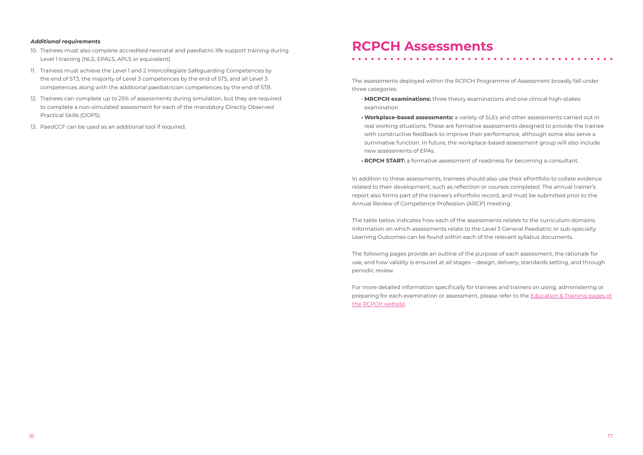#### *Additional requirements*

- 10. Trainees must also complete accredited neonatal and paediatric life support training during Level 1 training (NLS, EPALS, APLS or equivalent).
- 11. Trainees must achieve the Level 1 and 2 Intercollegiate Safeguarding Competences by the end of ST3, the majority of Level 3 competences by the end of ST5, and all Level 3 competences along with the additional paediatrician competences by the end of ST8.
- 12. Trainees can complete up to 25% of assessments during simulation, but they are required to complete a non-simulated assessment for each of the mandatory Directly Observed Practical Skills (DOPS).
- 13. PaedCCF can be used as an additional tool if required.

# **RCPCH Assessments**

The assessments deployed within the RCPCH Programme of Assessment broadly fall under three categories:

- **MRCPCH examinations:** three theory examinations and one clinical high-stakes examination.
- **• Workplace-based assessments:** a variety of SLEs and other assessments carried out in real working situations. These are formative assessments designed to provide the trainee with constructive feedback to improve their performance, although some also serve a summative function. In future, the workplace-based assessment group will also include new assessments of EPAs.
- **• RCPCH START:** a formative assessment of readiness for becoming a consultant.

In addition to these assessments, trainees should also use their ePortfolio to collate evidence related to their development, such as reflection or courses completed. The annual trainer's report also forms part of the trainee's ePortfolio record, and must be submitted prior to the Annual Review of Competence Profession (ARCP) meeting.

The table below indicates how each of the assessments relates to the curriculum domains. Information on which assessments relate to the Level 3 General Paediatric or sub-specialty Learning Outcomes can be found within each of the relevant syllabus documents.

The following pages provide an outline of the purpose of each assessment, the rationale for use, and how validity is ensured at all stages – design, delivery, standards setting, and through periodic review.

For more detailed information specifically for trainees and trainers on using, administering or preparing for each examination or assessment, please refer to the [Education & Training pages of](http://www.rcpch.ac.uk/training-examinations-professional-development/assessment-and-examinations/assessment-and-examinatio)  [the RCPCH website.](http://www.rcpch.ac.uk/training-examinations-professional-development/assessment-and-examinations/assessment-and-examinatio)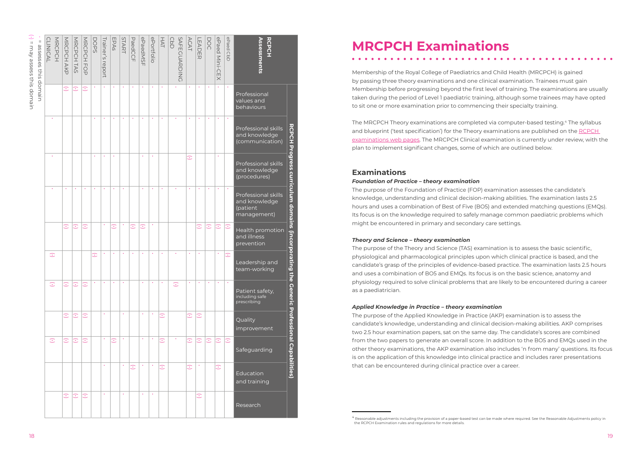<sup>•</sup> (•)  $\mathbb H$ may assess this domain

|                          |         | MRCPCH            | MRCPCH                  | MRCPCH         | DOPS<br>Trainer's | EPAs                 | START | PaedCCF        | ePaedMSF        | ePortfolio           | HAT<br>$\frac{1}{9}$ | <b>SAFECUARDIN</b> | <b>ACAT</b>   | LEADER          | DOC             | ePaed Mini-C<br>ePaed CbD                                | RCPCH<br>Assessm                                                  |
|--------------------------|---------|-------------------|-------------------------|----------------|-------------------|----------------------|-------|----------------|-----------------|----------------------|----------------------|--------------------|---------------|-----------------|-----------------|----------------------------------------------------------|-------------------------------------------------------------------|
| siu <sub>3</sub>         |         | AKP               | <b>TAS</b>              | $\overline{C}$ | repol             |                      |       |                |                 |                      |                      |                    |               |                 |                 | $\overline{\times}$                                      |                                                                   |
| this<br>domain<br>domain |         | $\odot$           | $\overline{C}$          | $\odot$        |                   |                      |       |                |                 |                      |                      | $\bigcirc$         | $\sim$        |                 |                 |                                                          | Professional<br>values and<br>behaviours                          |
|                          |         |                   |                         |                |                   |                      |       |                | $\sim 10^{-11}$ | $\sim$ $\sim$ $\sim$ |                      | $\sim 10^{-1}$     | $\sim$        | <b>Contract</b> | $\sim 10^{-11}$ |                                                          | က<br>ဂ<br>Professional skills<br>and knowledge<br>(communication) |
|                          |         |                   |                         |                |                   |                      |       |                |                 |                      |                      |                    | $\odot$       |                 |                 |                                                          | Professional skills<br>and knowledge<br>(procedures)              |
|                          |         |                   | $\odot$ $\odot$ $\odot$ |                |                   | $\boxed{.}$          |       | $ \mathbb{C} $ |                 |                      |                      |                    |               | $\odot$         |                 | $ \odot$ $\odot$ $ \odot$                                | Professional skills<br>and knowledge<br>(patient<br>management)   |
|                          |         |                   |                         |                |                   |                      |       |                |                 |                      |                      |                    |               |                 |                 |                                                          | Health promotion<br>and illness                                   |
|                          |         |                   |                         |                |                   |                      |       |                |                 |                      |                      |                    |               |                 |                 |                                                          | prevention                                                        |
|                          | $\odot$ |                   |                         |                |                   |                      |       |                |                 |                      |                      |                    |               |                 |                 | $\sim$<br>$\odot$                                        | ting<br>Leadership and<br>team-working                            |
|                          | $\odot$ | $\widehat{\cdot}$ | $\overline{\bigcirc}$   | $\odot$        |                   |                      |       |                |                 |                      |                      | $\odot$            |               |                 | $\sim 10^{-1}$  | $\sim 10^{-11}$                                          | $\vec{\sigma}$<br>Generic<br>Patient safety,<br>including safe    |
|                          |         |                   |                         |                |                   |                      |       |                |                 |                      |                      |                    |               |                 |                 |                                                          | prescribing<br>$\overline{\mathbf{u}}$                            |
|                          |         | $\odot$           | $\boxed{C}$             | $\odot$        |                   |                      |       |                | $\bullet$       |                      | $\boxed{\mathbb{C}}$ |                    | $\odot$       | $\boxed{\div}$  |                 |                                                          | Quality<br>improvement                                            |
|                          | $\odot$ |                   | $ \odot  \odot  \odot$  |                |                   | $\boxed{\mathbb{C}}$ |       |                |                 |                      | $\boxed{\mathbb{C}}$ |                    |               |                 |                 | $\mathbb{C} \mathbb{C} \mathbb{C} \mathbb{C} \mathbb{C}$ | ssional Capabilities<br>Safeguarding                              |
|                          |         |                   |                         |                |                   |                      |       | $\odot$        |                 |                      | $\boxed{\cdot}$      |                    | $\hat{\cdot}$ |                 |                 | $\widehat{\cdot}$                                        | Education<br>and training                                         |
|                          |         |                   | $\odot$ $\odot$ $\odot$ |                |                   |                      |       |                | $\bullet$       |                      |                      |                    |               | $\odot$         |                 |                                                          | Research                                                          |
|                          |         |                   |                         |                |                   |                      |       |                |                 |                      |                      |                    |               |                 |                 |                                                          |                                                                   |
|                          |         |                   |                         |                |                   |                      |       |                |                 |                      |                      |                    |               |                 |                 |                                                          |                                                                   |

# **MRCPCH Examinations**

### **Examinations**

#### *Foundation of Practice – theory examination*

#### *Theory and Science – theory examination*

#### *Applied Knowledge in Practice – theory examination*

<sup>4</sup> Reasonable adjustments including the provision of a paper-based test can be made where required. See the Reasonable Adjustments policy in the [RCPCH Examination rules and regulations](http://www.rcpch.ac.uk/training-examinations-professional-development/assessment-and-examinations/examinations/policies-and) for more details.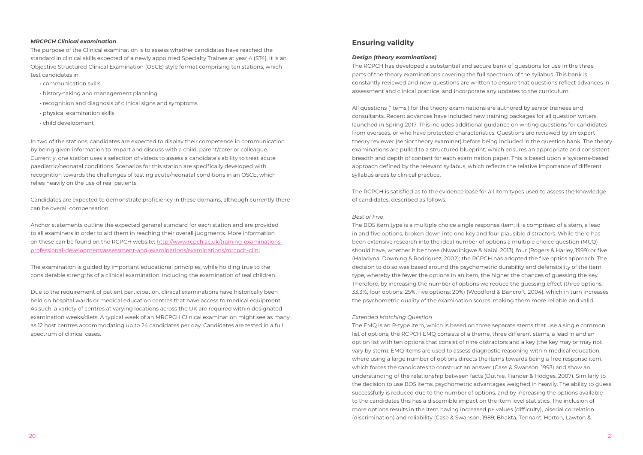#### *MRCPCH Clinical examination*

The purpose of the Clinical examination is to assess whether candidates have reached the standard in clinical skills expected of a newly appointed Specialty Trainee at year 4 (ST4). It is an Objective Structured Clinical Examination (OSCE) style format comprising ten stations, which test candidates in:

- communication skills
- history-taking and management planning
- recognition and diagnosis of clinical signs and symptoms
- physical examination skills
- child development

In two of the stations, candidates are expected to display their competence in communication by being given information to impart and discuss with a child, parent/carer or colleague. Currently, one station uses a selection of videos to assess a candidate's ability to treat acute paediatric/neonatal conditions. Scenarios for this station are specifically developed with recognition towards the challenges of testing acute/neonatal conditions in an OSCE, which relies heavily on the use of real patients.

Candidates are expected to demonstrate proficiency in these domains, although currently there can be overall compensation.

Anchor statements outline the expected general standard for each station and are provided to all examiners in order to aid them in reaching their overall judgments. More information on these can be found on the RCPCH website: [http://www.rcpch.ac.uk/training-examinations](http://http://www.rcpch.ac.uk/training-examinations-professional-development/assessment-and-examinations/examinations/mrcpch-clini
)[professional-development/assessment-and-examinations/examinations/mrcpch-clini](http://http://www.rcpch.ac.uk/training-examinations-professional-development/assessment-and-examinations/examinations/mrcpch-clini
)

The examination is guided by important educational principles, while holding true to the considerable strengths of a clinical examination, including the examination of real children.

Due to the requirement of patient participation, clinical examinations have historically been held on hospital wards or medical education centres that have access to medical equipment. As such, a variety of centres at varying locations across the UK are required within designated examination weeks/diets. A typical week of an MRCPCH Clinical examination might see as many as 12 host centres accommodating up to 24 candidates per day. Candidates are tested in a full spectrum of clinical cases.

#### **Ensuring validity**

#### *Design (theory examinations)*

The RCPCH has developed a substantial and secure bank of questions for use in the three parts of the theory examinations covering the full spectrum of the syllabus. This bank is constantly reviewed and new questions are written to ensure that questions reflect advances in assessment and clinical practice, and incorporate any updates to the curriculum.

All questions ('items') for the theory examinations are authored by senior trainees and consultants. Recent advances have included new training packages for all question writers, launched in Spring 2017. This includes additional guidance on writing questions for candidates from overseas, or who have protected characteristics. Questions are reviewed by an expert theory reviewer (senior theory examiner) before being included in the question bank. The theory examinations are pulled to a structured blueprint, which ensures an appropriate and consistent breadth and depth of content for each examination paper. This is based upon a 'systems-based' approach defined by the relevant syllabus, which reflects the relative importance of different syllabus areas to clinical practice.

The RCPCH is satisfied as to the evidence base for all item types used to assess the knowledge of candidates, described as follows:

#### *Best of Five*

The BO5 item type is a multiple choice single response item; it is comprised of a stem, a lead in and five options, broken down into one key and four plausible distractors. While there has been extensive research into the ideal number of options a multiple choice question (MCQ) should have, whether it be three (Nwadinigwe & Naibi, 2013), four (Rogers & Harley, 1999) or five (Haladyna, Downing & Rodriguez, 2002); the RCPCH has adopted the five optios approach. The decision to do so was based around the psychometric durability and defensibility of the item type, whereby the fewer the options in an item, the higher the chances of guessing the key. Therefore, by increasing the number of options we reduce the guessing effect (three options: 33.3%, four options: 25%, five options: 20%) (Woodford & Bancroft, 2004), which in turn increases the psychometric quality of the examination scores, making them more reliable and valid.

#### *Extended Matching Question*

The EMQ is an R-type item, which is based on three separate stems that use a single common list of options; the RCPCH EMQ consists of a theme, three different stems, a lead in and an option list with ten options that consist of nine distractors and a key (the key may or may not vary by stem). EMQ items are used to assess diagnostic reasoning within medical education, where using a large number of options directs the items towards being a free response item, which forces the candidates to construct an answer (Case & Swanson, 1993) and show an understanding of the relationship between facts (Duthie, Fiander & Hodges, 2007). Similarly to the decision to use BO5 items, psychometric advantages weighed in heavily. The ability to guess successfully is reduced due to the number of options, and by increasing the options available to the candidates this has a discernible impact on the item level statistics. The inclusion of more options results in the item having increased p+ values (difficulty), biserial correlation (discrimination) and reliability (Case & Swanson, 1989; Bhakta, Tennant, Horton, Lawton &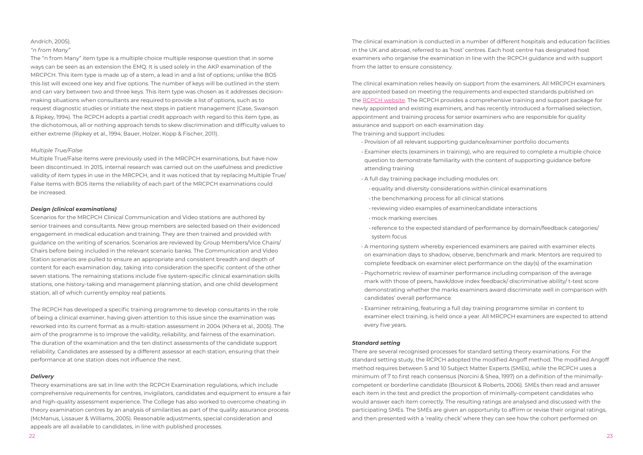#### Andrich, 2005).

#### *"n from Many"*

The "n from Many" item type is a multiple choice multiple response question that in some ways can be seen as an extension the EMQ. It is used solely in the AKP examination of the MRCPCH. This item type is made up of a stem, a lead in and a list of options; unlike the BO5 this list will exceed one key and five options. The number of keys will be outlined in the stem and can vary between two and three keys. This item type was chosen as it addresses decisionmaking situations when consultants are required to provide a list of options, such as to request diagnostic studies or initiate the next steps in patient management (Case, Swanson & Ripkey, 1994). The RCPCH adopts a partial credit approach with regard to this item type, as the dichotomous, all or nothing approach tends to skew discrimination and difficulty values to either extreme (Ripkey et al., 1994; Bauer, Holzer, Kopp & Fischer, 2011).

#### *Multiple True/False*

Multiple True/False items were previously used in the MRCPCH examinations, but have now been discontinued. In 2015, internal research was carried out on the usefulness and predictive validity of item types in use in the MRCPCH, and it was noticed that by replacing Multiple True/ False items with BO5 items the reliability of each part of the MRCPCH examinations could be increased.

#### *Design (clinical examinations)*

Scenarios for the MRCPCH Clinical Communication and Video stations are authored by senior trainees and consultants. New group members are selected based on their evidenced engagement in medical education and training. They are then trained and provided with guidance on the writing of scenarios. Scenarios are reviewed by Group Members/Vice Chairs/ Chairs before being included in the relevant scenario banks. The Communication and Video Station scenarios are pulled to ensure an appropriate and consistent breadth and depth of content for each examination day, taking into consideration the specific content of the other seven stations. The remaining stations include five system-specific clinical examination skills stations, one history-taking and management planning station, and one child development station, all of which currently employ real patients.

The RCPCH has developed a specific training programme to develop consultants in the role of being a clinical examiner, having given attention to this issue since the examination was reworked into its current format as a multi-station assessment in 2004 (Khera et al., 2005). The aim of the programme is to improve the validity, reliability, and fairness of the examination. The duration of the examination and the ten distinct assessments of the candidate support reliability. Candidates are assessed by a different assessor at each station, ensuring that their performance at one station does not influence the next.

#### *Delivery*

Theory examinations are sat in line with the [RCPCH Examination regulations,](http://www.rcpch.ac.uk/training-examinations-professional-development/assessment-and-examinations/examinations/policies-and) which include comprehensive requirements for centres, invigilators, candidates and equipment to ensure a fair and high-quality assessment experience. The College has also worked to overcome cheating in theory examination centres by an analysis of similarities as part of the quality assurance process (McManus, Lissauer & Williams, 2005). Reasonable adjustments, special consideration and appeals are all available to candidates, in line with published processes.

The clinical examination is conducted in a number of different hospitals and education facilities in the UK and abroad, referred to as 'host' centres. Each host centre has designated host examiners who organise the examination in line with the RCPCH guidance and with support from the latter to ensure consistency.

The clinical examination relies heavily on support from the examiners. All MRCPCH examiners are appointed based on meeting the requirements and expected standards published on the [RCPCH website.](http://www.rcpch.ac.uk/training-examinations-professional-development/assessment-and-examinations/examiner/becoming-exami-0) The RCPCH provides a comprehensive training and support package for newly appointed and existing examiners, and has recently introduced a formalised selection, appointment and training process for senior examiners who are responsible for quality assurance and support on each examination day. The training and support includes:

• reference to the expected standard of performance by domain/feedback categories/

- Provision of all relevant supporting guidance/examiner portfolio documents
- Examiner elects (examiners in training), who are required to complete a multiple choice question to demonstrate familiarity with the content of supporting guidance before attending training
- A full day training package including modules on:
	- equality and diversity considerations within clinical examinations
	- the benchmarking process for all clinical stations
	- reviewing video examples of examiner/candidate interactions
	- mock marking exercises
- system focus
- A mentoring system whereby experienced examiners are paired with examiner elects on examination days to shadow, observe, benchmark and mark. Mentors are required to complete feedback on examiner elect performance on the day(s) of the examination
- Psychometric review of examiner performance including comparison of the average mark with those of peers, hawk/dove index feedback/ discriminative ability/ t-test score demonstrating whether the marks examiners award discriminate well in comparison with candidates' overall performance
- Examiner retraining, featuring a full day training programme similar in content to every five years.

examiner elect training, is held once a year. All MRCPCH examiners are expected to attend

#### *Standard setting*

There are several recognised processes for standard setting theory examinations. For the standard setting study, the RCPCH adopted the modified Angoff method. The modified Angoff method requires between 5 and 10 Subject Matter Experts (SMEs), while the RCPCH uses a minimum of 7 to first reach consensus (Norcini & Shea, 1997) on a definition of the minimallycompetent or borderline candidate (Boursicot & Roberts, 2006). SMEs then read and answer each item in the test and predict the proportion of minimally-competent candidates who would answer each item correctly. The resulting ratings are analysed and discussed with the participating SMEs. The SMEs are given an opportunity to affirm or revise their original ratings, and then presented with a 'reality check' where they can see how the cohort performed on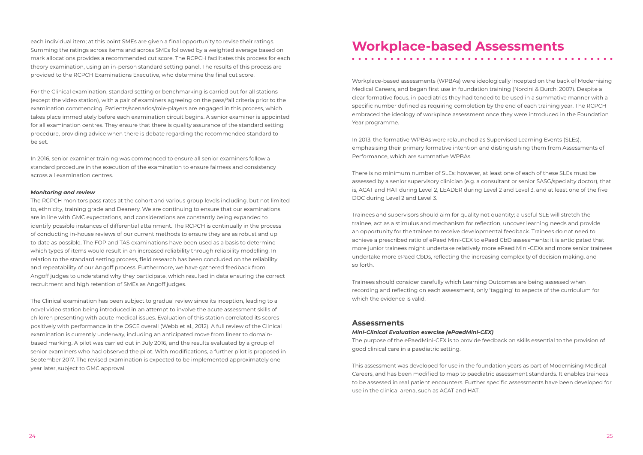each individual item; at this point SMEs are given a final opportunity to revise their ratings. Summing the ratings across items and across SMEs followed by a weighted average based on mark allocations provides a recommended cut score. The RCPCH facilitates this process for each theory examination, using an in-person standard setting panel. The results of this process are provided to the RCPCH Examinations Executive, who determine the final cut score.

For the Clinical examination, standard setting or benchmarking is carried out for all stations (except the video station), with a pair of examiners agreeing on the pass/fail criteria prior to the examination commencing. Patients/scenarios/role-players are engaged in this process, which takes place immediately before each examination circuit begins. A senior examiner is appointed for all examination centres. They ensure that there is quality assurance of the standard setting procedure, providing advice when there is debate regarding the recommended standard to be set.

In 2016, senior examiner training was commenced to ensure all senior examiners follow a standard procedure in the execution of the examination to ensure fairness and consistency across all examination centres.

#### *Monitoring and review*

The RCPCH monitors pass rates at the cohort and various group levels including, but not limited to, ethnicity, training grade and Deanery. We are continuing to ensure that our examinations are in line with GMC expectations, and considerations are constantly being expanded to identify possible instances of differential attainment. The RCPCH is continually in the process of conducting in-house reviews of our current methods to ensure they are as robust and up to date as possible. The FOP and TAS examinations have been used as a basis to determine which types of items would result in an increased reliability through reliability modelling. In relation to the standard setting process, field research has been concluded on the reliability and repeatability of our Angoff process. Furthermore, we have gathered feedback from Angoff judges to understand why they participate, which resulted in data ensuring the correct recruitment and high retention of SMEs as Angoff judges.

The Clinical examination has been subject to gradual review since its inception, leading to a novel video station being introduced in an attempt to involve the acute assessment skills of children presenting with acute medical issues. Evaluation of this station correlated its scores positively with performance in the OSCE overall (Webb et al., 2012). A full review of the Clinical examination is currently underway, including an anticipated move from linear to domainbased marking. A pilot was carried out in July 2016, and the results evaluated by a group of senior examiners who had observed the pilot. With modifications, a further pilot is proposed in September 2017. The revised examination is expected to be implemented approximately one year later, subject to GMC approval.

# **Workplace-based Assessments**

Workplace-based assessments (WPBAs) were ideologically incepted on the back of Modernising Medical Careers, and began first use in foundation training (Norcini & Burch, 2007). Despite a clear formative focus, in paediatrics they had tended to be used in a summative manner with a specific number defined as requiring completion by the end of each training year. The RCPCH embraced the ideology of workplace assessment once they were introduced in the Foundation Year programme.

In 2013, the formative WPBAs were relaunched as Supervised Learning Events (SLEs), emphasising their primary formative intention and distinguishing them from Assessments of Performance, which are summative WPBAs.

There is no minimum number of SLEs; however, at least one of each of these SLEs must be assessed by a senior supervisory clinician (e.g. a consultant or senior SASG/specialty doctor), that is, ACAT and HAT during Level 2, LEADER during Level 2 and Level 3, and at least one of the five DOC during Level 2 and Level 3.

Trainees and supervisors should aim for quality not quantity; a useful SLE will stretch the trainee, act as a stimulus and mechanism for reflection, uncover learning needs and provide an opportunity for the trainee to receive developmental feedback. Trainees do not need to achieve a prescribed ratio of ePaed Mini-CEX to ePaed CbD assessments; it is anticipated that more junior trainees might undertake relatively more ePaed Mini-CEXs and more senior trainees undertake more ePaed CbDs, reflecting the increasing complexity of decision making, and so forth.

Trainees should consider carefully which Learning Outcomes are being assessed when recording and reflecting on each assessment, only 'tagging' to aspects of the curriculum for which the evidence is valid.

#### **Assessments**

*Mini-Clinical Evaluation exercise (ePaedMini-CEX)* 

The purpose of the ePaedMini-CEX is to provide feedback on skills essential to the provision of good clinical care in a paediatric setting.

This assessment was developed for use in the foundation years as part of Modernising Medical Careers, and has been modified to map to paediatric assessment standards. It enables trainees to be assessed in real patient encounters. Further specific assessments have been developed for use in the clinical arena, such as ACAT and HAT.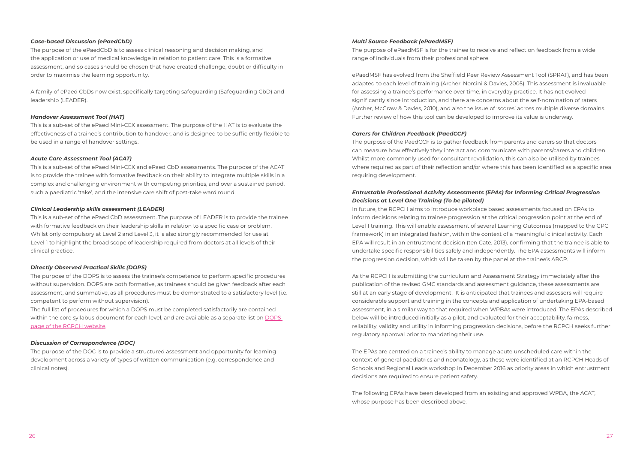#### *Case-based Discussion (ePaedCbD)*

The purpose of the ePaedCbD is to assess clinical reasoning and decision making, and the application or use of medical knowledge in relation to patient care. This is a formative assessment, and so cases should be chosen that have created challenge, doubt or difficulty in order to maximise the learning opportunity.

A family of ePaed CbDs now exist, specifically targeting safeguarding (Safeguarding CbD) and leadership (LEADER).

#### *Handover Assessment Tool (HAT)*

This is a sub-set of the ePaed Mini-CEX assessment. The purpose of the HAT is to evaluate the effectiveness of a trainee's contribution to handover, and is designed to be sufficiently flexible to be used in a range of handover settings.

#### *Acute Care Assessment Tool (ACAT)*

This is a sub-set of the ePaed Mini-CEX and ePaed CbD assessments. The purpose of the ACAT is to provide the trainee with formative feedback on their ability to integrate multiple skills in a complex and challenging environment with competing priorities, and over a sustained period, such a paediatric 'take', and the intensive care shift of post-take ward round.

#### *Clinical Leadership skills assessment (LEADER)*

This is a sub-set of the ePaed CbD assessment. The purpose of LEADER is to provide the trainee with formative feedback on their leadership skills in relation to a specific case or problem. Whilst only compulsory at Level 2 and Level 3, it is also strongly recommended for use at Level 1 to highlight the broad scope of leadership required from doctors at all levels of their clinical practice.

#### *Directly Observed Practical Skills (DOPS)*

The purpose of the DOPS is to assess the trainee's competence to perform specific procedures without supervision. DOPS are both formative, as trainees should be given feedback after each assessment, and summative, as all procedures must be demonstrated to a satisfactory level (i.e. competent to perform without supervision).

The full list of procedures for which a DOPS must be completed satisfactorily are contained within the core syllabus document for each level, and are available as a separate list on [DOPS](http://www.rcpch.ac.uk/training-examinations-professional-development/assessment-and-examinations/assessment/directly-obser)  [page of the RCPCH website](http://www.rcpch.ac.uk/training-examinations-professional-development/assessment-and-examinations/assessment/directly-obser).

#### *Discussion of Correspondence (DOC)*

The purpose of the DOC is to provide a structured assessment and opportunity for learning development across a variety of types of written communication (e.g. correspondence and clinical notes).

#### *Multi Source Feedback (ePaedMSF)*

The purpose of ePaedMSF is for the trainee to receive and reflect on feedback from a wide range of individuals from their professional sphere.

ePaedMSF has evolved from the Sheffield Peer Review Assessment Tool (SPRAT), and has been adapted to each level of training (Archer, Norcini & Davies, 2005). This assessment is invaluable for assessing a trainee's performance over time, in everyday practice. It has not evolved significantly since introduction, and there are concerns about the self-nomination of raters (Archer, McGraw & Davies, 2010), and also the issue of 'scores' across multiple diverse domains. Further review of how this tool can be developed to improve its value is underway.

#### *Carers for Children Feedback (PaedCCF)*

The purpose of the PaedCCF is to gather feedback from parents and carers so that doctors can measure how effectively they interact and communicate with parents/carers and children. Whilst more commonly used for consultant revalidation, this can also be utilised by trainees where required as part of their reflection and/or where this has been identified as a specific area requiring development.

#### *Entrustable Professional Activity Assessments (EPAs) for Informing Critical Progression Decisions at Level One Training (To be piloted)*

In future, the RCPCH aims to introduce workplace based assessments focused on EPAs to inform decisions relating to trainee progression at the critical progression point at the end of Level 1 training. This will enable assessment of several Learning Outcomes (mapped to the GPC framework) in an integrated fashion, within the context of a meaningful clinical activity. Each EPA will result in an entrustment decision (ten Cate, 2013), confirming that the trainee is able to undertake specific responsibilities safely and independently. The EPA assessments will inform the progression decision, which will be taken by the panel at the trainee's ARCP.

As the RCPCH is submitting the curriculum and Assessment Strategy immediately after the publication of the revised GMC standards and assessment guidance, these assessments are still at an early stage of development. It is anticipated that trainees and assessors will require considerable support and training in the concepts and application of undertaking EPA-based assessment, in a similar way to that required when WPBAs were introduced. The EPAs described below will be introduced initially as a pilot, and evaluated for their acceptability, fairness, reliability, validity and utility in informing progression decisions, before the RCPCH seeks further regulatory approval prior to mandating their use.

The EPAs are centred on a trainee's ability to manage acute unscheduled care within the context of general paediatrics and neonatology, as these were identified at an RCPCH Heads of Schools and Regional Leads workshop in December 2016 as priority areas in which entrustment decisions are required to ensure patient safety.

The following EPAs have been developed from an existing and approved WPBA, the ACAT, whose purpose has been described above.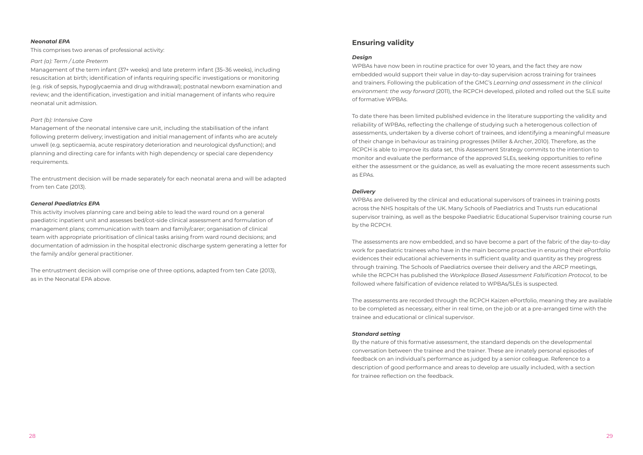#### *Neonatal EPA*

This comprises two arenas of professional activity:

#### *Part (a): Term / Late Preterm*

Management of the term infant (37+ weeks) and late preterm infant (35–36 weeks), including resuscitation at birth; identification of infants requiring specific investigations or monitoring (e.g. risk of sepsis, hypoglycaemia and drug withdrawal); postnatal newborn examination and review; and the identification, investigation and initial management of infants who require neonatal unit admission.

#### *Part (b): Intensive Care*

Management of the neonatal intensive care unit, including the stabilisation of the infant following preterm delivery; investigation and initial management of infants who are acutely unwell (e.g. septicaemia, acute respiratory deterioration and neurological dysfunction); and planning and directing care for infants with high dependency or special care dependency requirements.

The entrustment decision will be made separately for each neonatal arena and will be adapted from ten Cate (2013).

#### *General Paediatrics EPA*

This activity involves planning care and being able to lead the ward round on a general paediatric inpatient unit and assesses bed/cot-side clinical assessment and formulation of management plans; communication with team and family/carer; organisation of clinical team with appropriate prioritisation of clinical tasks arising from ward round decisions; and documentation of admission in the hospital electronic discharge system generating a letter for the family and/or general practitioner.

The entrustment decision will comprise one of three options, adapted from ten Cate (2013), as in the Neonatal EPA above.

### **Ensuring validity**

#### *Design*

WPBAs have now been in routine practice for over 10 years, and the fact they are now embedded would support their value in day-to-day supervision across training for trainees and trainers. Following the publication of the GMC's *Learning and assessment in the clinical environment: the way forward* (2011), the RCPCH developed, piloted and rolled out the SLE suite of formative WPBAs.

To date there has been limited published evidence in the literature supporting the validity and reliability of WPBAs, reflecting the challenge of studying such a heterogenous collection of assessments, undertaken by a diverse cohort of trainees, and identifying a meaningful measure of their change in behaviour as training progresses (Miller & Archer, 2010). Therefore, as the RCPCH is able to improve its data set, this Assessment Strategy commits to the intention to monitor and evaluate the performance of the approved SLEs, seeking opportunities to refine either the assessment or the guidance, as well as evaluating the more recent assessments such as EPAs.

#### *Delivery*

WPBAs are delivered by the clinical and educational supervisors of trainees in training posts across the NHS hospitals of the UK. Many Schools of Paediatrics and Trusts run educational supervisor training, as well as the bespoke Paediatric Educational Supervisor training course run by the RCPCH.

The assessments are now embedded, and so have become a part of the fabric of the day-to-day work for paediatric trainees who have in the main become proactive in ensuring their ePortfolio evidences their educational achievements in sufficient quality and quantity as they progress through training. The Schools of Paediatrics oversee their delivery and the ARCP meetings, while the RCPCH has published the *Workplace Based Assessment Falsification Protocol*, to be followed where falsification of evidence related to WPBAs/SLEs is suspected.

The assessments are recorded through the RCPCH Kaizen ePortfolio, meaning they are available to be completed as necessary, either in real time, on the job or at a pre-arranged time with the trainee and educational or clinical supervisor.

#### *Standard setting*

By the nature of this formative assessment, the standard depends on the developmental conversation between the trainee and the trainer. These are innately personal episodes of feedback on an individual's performance as judged by a senior colleague. Reference to a description of good performance and areas to develop are usually included, with a section for trainee reflection on the feedback.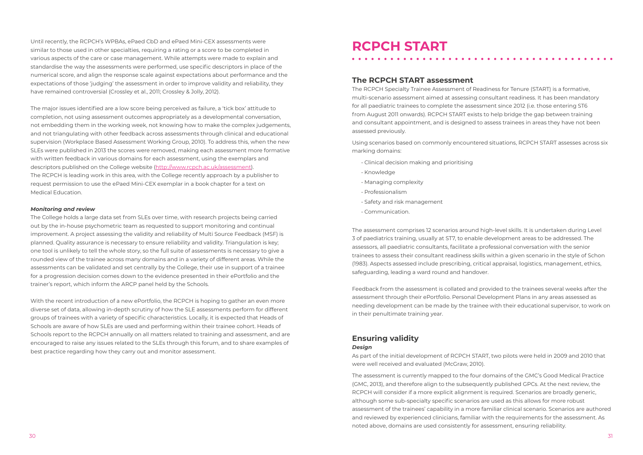Until recently, the RCPCH's WPBAs, ePaed CbD and ePaed Mini-CEX assessments were similar to those used in other specialties, requiring a rating or a score to be completed in various aspects of the care or case management. While attempts were made to explain and standardise the way the assessments were performed, use specific descriptors in place of the numerical score, and align the response scale against expectations about performance and the expectations of those 'judging' the assessment in order to improve validity and reliability, they have remained controversial (Crossley et al., 2011; Crossley & Jolly, 2012).

The major issues identified are a low score being perceived as failure, a 'tick box' attitude to completion, not using assessment outcomes appropriately as a developmental conversation, not embedding them in the working week, not knowing how to make the complex judgements, and not triangulating with other feedback across assessments through clinical and educational supervision (Workplace Based Assessment Working Group, 2010). To address this, when the new SLEs were published in 2013 the scores were removed, making each assessment more formative with written feedback in various domains for each assessment, using the exemplars and descriptors published on the College website (http:/[/www.rcpch.ac.uk/assessment\)](http://www.rcpch.ac.uk/assessment). The RCPCH is leading work in this area, with the College recently approach by a publisher to request permission to use the ePaed Mini-CEX exemplar in a book chapter for a text on Medical Education.

#### *Monitoring and review*

The College holds a large data set from SLEs over time, with research projects being carried out by the in-house psychometric team as requested to support monitoring and continual improvement. A project assessing the validity and reliability of Multi Source Feedback (MSF) is planned. Quality assurance is necessary to ensure reliability and validity. Triangulation is key; one tool is unlikely to tell the whole story, so the full suite of assessments is necessary to give a rounded view of the trainee across many domains and in a variety of different areas. While the assessments can be validated and set centrally by the College, their use in support of a trainee for a progression decision comes down to the evidence presented in their ePortfolio and the trainer's report, which inform the ARCP panel held by the Schools.

With the recent introduction of a new ePortfolio, the RCPCH is hoping to gather an even more diverse set of data, allowing in-depth scrutiny of how the SLE assessments perform for different groups of trainees with a variety of specific characteristics. Locally, it is expected that Heads of Schools are aware of how SLEs are used and performing within their trainee cohort. Heads of Schools report to the RCPCH annually on all matters related to training and assessment, and are encouraged to raise any issues related to the SLEs through this forum, and to share examples of best practice regarding how they carry out and monitor assessment.

### **RCPCH START**

#### **The RCPCH START assessment**

The RCPCH Specialty Trainee Assessment of Readiness for Tenure (START) is a formative, multi-scenario assessment aimed at assessing consultant readiness. It has been mandatory for all paediatric trainees to complete the assessment since 2012 (i.e. those entering ST6 from August 2011 onwards). RCPCH START exists to help bridge the gap between training and consultant appointment, and is designed to assess trainees in areas they have not been assessed previously.

Using scenarios based on commonly encountered situations, RCPCH START assesses across six marking domains:

- Clinical decision making and prioritising
- Knowledge
- Managing complexity
- Professionalism
- Safety and risk management
- Communication.

The assessment comprises 12 scenarios around high-level skills. It is undertaken during Level 3 of paediatrics training, usually at ST7, to enable development areas to be addressed. The assessors, all paediatric consultants, facilitate a professional conversation with the senior trainees to assess their consultant readiness skills within a given scenario in the style of Schon (1983). Aspects assessed include prescribing, critical appraisal, logistics, management, ethics, safeguarding, leading a ward round and handover.

Feedback from the assessment is collated and provided to the trainees several weeks after the assessment through their ePortfolio. Personal Development Plans in any areas assessed as needing development can be made by the trainee with their educational supervisor, to work on in their penultimate training year.

#### **Ensuring validity** *Design*

As part of the initial development of RCPCH START, two pilots were held in 2009 and 2010 that were well received and evaluated (McGraw, 2010).

The assessment is currently mapped to the four domains of the GMC's Good Medical Practice (GMC, 2013), and therefore align to the subsequently published GPCs. At the next review, the RCPCH will consider if a more explicit alignment is required. Scenarios are broadly generic, although some sub-specialty specific scenarios are used as this allows for more robust assessment of the trainees' capability in a more familiar clinical scenario. Scenarios are authored and reviewed by experienced clinicians, familiar with the requirements for the assessment. As noted above, domains are used consistently for assessment, ensuring reliability.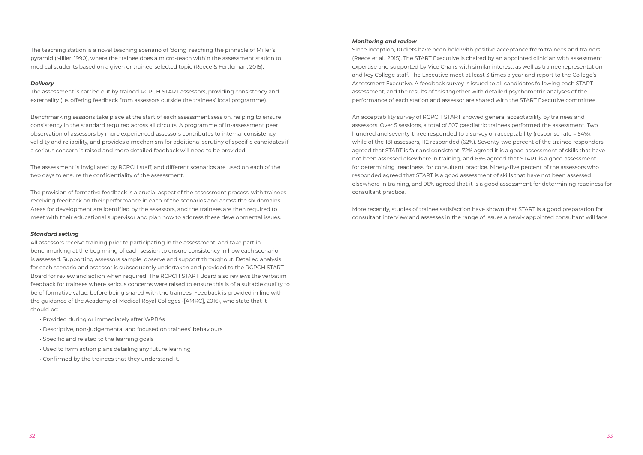The teaching station is a novel teaching scenario of 'doing' reaching the pinnacle of Miller's pyramid (Miller, 1990), where the trainee does a micro-teach within the assessment station to medical students based on a given or trainee-selected topic (Reece & Fertleman, 2015).

#### *Delivery*

The assessment is carried out by trained RCPCH START assessors, providing consistency and externality (i.e. offering feedback from assessors outside the trainees' local programme).

Benchmarking sessions take place at the start of each assessment session, helping to ensure consistency in the standard required across all circuits. A programme of in-assessment peer observation of assessors by more experienced assessors contributes to internal consistency, validity and reliability, and provides a mechanism for additional scrutiny of specific candidates if a serious concern is raised and more detailed feedback will need to be provided.

The assessment is invigilated by RCPCH staff, and different scenarios are used on each of the two days to ensure the confidentiality of the assessment.

The provision of formative feedback is a crucial aspect of the assessment process, with trainees receiving feedback on their performance in each of the scenarios and across the six domains. Areas for development are identified by the assessors, and the trainees are then required to meet with their educational supervisor and plan how to address these developmental issues.

#### *Standard setting*

All assessors receive training prior to participating in the assessment, and take part in benchmarking at the beginning of each session to ensure consistency in how each scenario is assessed. Supporting assessors sample, observe and support throughout. Detailed analysis for each scenario and assessor is subsequently undertaken and provided to the RCPCH START Board for review and action when required. The RCPCH START Board also reviews the verbatim feedback for trainees where serious concerns were raised to ensure this is of a suitable quality to be of formative value, before being shared with the trainees. Feedback is provided in line with the guidance of the Academy of Medical Royal Colleges ([AMRC], 2016), who state that it should be:

- Provided during or immediately after WPBAs
- Descriptive, non-judgemental and focused on trainees' behaviours
- Specific and related to the learning goals
- Used to form action plans detailing any future learning
- Confirmed by the trainees that they understand it.

#### *Monitoring and review*

Since inception, 10 diets have been held with positive acceptance from trainees and trainers (Reece et al., 2015). The START Executive is chaired by an appointed clinician with assessment expertise and supported by Vice Chairs with similar interest, as well as trainee representation and key College staff. The Executive meet at least 3 times a year and report to the College's Assessment Executive. A feedback survey is issued to all candidates following each START assessment, and the results of this together with detailed psychometric analyses of the performance of each station and assessor are shared with the START Executive committee.

An acceptability survey of RCPCH START showed general acceptability by trainees and assessors. Over 5 sessions, a total of 507 paediatric trainees performed the assessment. Two hundred and seventy-three responded to a survey on acceptability (response rate = 54%), while of the 181 assessors, 112 responded (62%). Seventy-two percent of the trainee responders agreed that START is fair and consistent, 72% agreed it is a good assessment of skills that have not been assessed elsewhere in training, and 63% agreed that START is a good assessment for determining 'readiness' for consultant practice. Ninety-five percent of the assessors who responded agreed that START is a good assessment of skills that have not been assessed elsewhere in training, and 96% agreed that it is a good assessment for determining readiness for consultant practice.

More recently, studies of trainee satisfaction have shown that START is a good preparation for consultant interview and assesses in the range of issues a newly appointed consultant will face.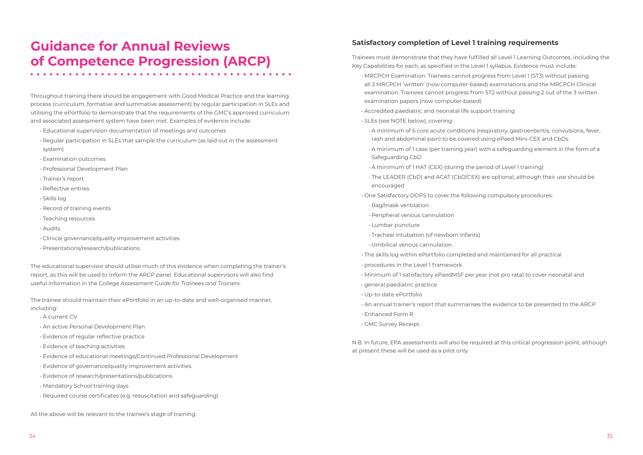## **Guidance for Annual Reviews of Competence Progression (ARCP)**

Throughout training there should be engagement with Good Medical Practice and the learning process (curriculum, formative and summative assessment) by regular participation in SLEs and utilising the ePortfolio to demonstrate that the requirements of the GMC's approved curriculum and associated assessment system have been met. Examples of evidence include:

- Educational supervision documentation of meetings and outcomes
- Regular participation in SLEs that sample the curriculum (as laid out in the assessment system)
- Examination outcomes
- Professional Development Plan
- Trainer's report
- Reflective entries
- Skills log
- Record of training events
- Teaching resources
- Audits
- Clinical governance/quality improvement activities
- Presentations/research/publications.

The educational supervisor should utilise much of this evidence when completing the trainer's report, as this will be used to inform the ARCP panel. Educational supervisors will also find useful information in the College *Assessment Guide for Trainees and Trainers*.

The trainee should maintain their ePortfolio in an up-to-date and well-organised manner, including:

- A current CV
- An active Personal Development Plan
- Evidence of regular reflective practice
- Evidence of teaching activities
- Evidence of educational meetings/Continued Professional Development
- Evidence of governance/quality improvement activities
- Evidence of research/presentations/publications
- Mandatory School training days
- Required course certificates (e.g. resuscitation and safeguarding)

All the above will be relevant to the trainee's stage of training.

### **Satisfactory completion of Level 1 training requirements**

Trainees must demonstrate that they have fulfilled all Level 1 Learning Outcomes, including the Key Capabilities for each, as specified in the Level 1 syllabus. Evidence must include: • MRCPCH Examination. Trainees cannot progress from Level 1 (ST3) without passing all 3 MRCPCH 'written' (now computer-based) examinations and the MRCPCH Clinical

• A minimum of 6 core acute conditions (respiratory, gastroenteritis, convulsions, fever,

• A minimum of 1 case (per training year) with a safeguarding element in the form of a

- examination. Trainees cannot progress from ST2 without passing 2 out of the 3 written examination papers (now computer-based)
- Accredited paediatric and neonatal life support training
- SLEs (see NOTE below), covering:
- rash and abdominal pain) to be covered using ePaed Mini-CEX and CbDs
- Safeguarding CbD
- A minimum of 1 HAT (CEX) (during the period of Level 1 training)
- The LEADER (CbD) and ACAT (CbD/CEX) are optional, although their use should be encouraged
- One Satisfactory DOPS to cover the following compulsory procedures:
- Bag/mask ventilation
- Peripheral venous cannulation
- Lumbar puncture
- Tracheal intubation (of newborn infants)
- Umbilical venous cannulation
- The skills log within ePortfolio completed and maintained for all practical
- procedures in the Level 1 framework
- Minimum of 1 satisfactory ePaedMSF per year (not pro rata) to cover neonatal and
- general paediatric practice
- Up-to-date ePortfolio
- 
- Enhanced Form R
- GMC Survey Receipt.

• An annual trainer's report that summarises the evidence to be presented to the ARCP

N.B. In future, EPA assessments will also be required at this critical progression point, although at present these will be used as a pilot only.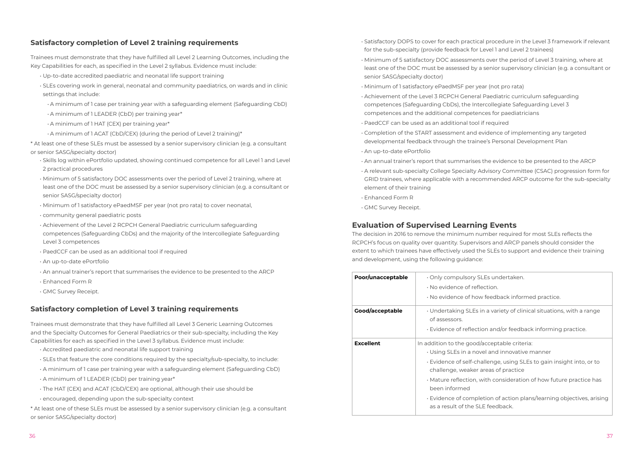#### **Satisfactory completion of Level 2 training requirements**

Trainees must demonstrate that they have fulfilled all Level 2 Learning Outcomes, including the Key Capabilities for each, as specified in the Level 2 syllabus. Evidence must include:

- Up-to-date accredited paediatric and neonatal life support training
- SLEs covering work in general, neonatal and community paediatrics, on wards and in clinic settings that include:
- A minimum of 1 case per training year with a safeguarding element (Safeguarding CbD)
- A minimum of 1 LEADER (CbD) per training year\*
- A minimum of 1 HAT (CEX) per training year\*
- A minimum of 1 ACAT (CbD/CEX) (during the period of Level 2 training)\*

\* At least one of these SLEs must be assessed by a senior supervisory clinician (e.g. a consultant or senior SASG/specialty doctor)

- Skills log within ePortfolio updated, showing continued competence for all Level 1 and Level 2 practical procedures
- Minimum of 5 satisfactory DOC assessments over the period of Level 2 training, where at least one of the DOC must be assessed by a senior supervisory clinician (e.g. a consultant or senior SASG/specialty doctor)
- Minimum of 1 satisfactory ePaedMSF per year (not pro rata) to cover neonatal,
- community general paediatric posts
- Achievement of the Level 2 RCPCH General Paediatric curriculum safeguarding competences (Safeguarding CbDs) and the majority of the Intercollegiate Safeguarding Level 3 competences
- PaedCCF can be used as an additional tool if required
- An up-to-date ePortfolio
- An annual trainer's report that summarises the evidence to be presented to the ARCP
- Enhanced Form R
- GMC Survey Receipt.

#### **Satisfactory completion of Level 3 training requirements**

Trainees must demonstrate that they have fulfilled all Level 3 Generic Learning Outcomes and the Specialty Outcomes for General Paediatrics or their sub-specialty, including the Key Capabilities for each as specified in the Level 3 syllabus. Evidence must include:

- Accredited paediatric and neonatal life support training
- SLEs that feature the core conditions required by the specialty/sub-specialty, to include:
- A minimum of 1 case per training year with a safeguarding element (Safeguarding CbD)
- A minimum of 1 LEADER (CbD) per training year\*
- The HAT (CEX) and ACAT (CbD/CEX) are optional, although their use should be
- encouraged, depending upon the sub-specialty context

\* At least one of these SLEs must be assessed by a senior supervisory clinician (e.g. a consultant or senior SASG/specialty doctor)

- Satisfactory DOPS to cover for each practical procedure in the Level 3 framework if relevant for the sub-specialty (provide feedback for Level 1 and Level 2 trainees)
- Minimum of 5 satisfactory DOC assessments over the period of Level 3 training, where at least one of the DOC must be assessed by a senior supervisory clinician (e.g. a consultant or senior SASG/specialty doctor)
- Minimum of 1 satisfactory ePaedMSF per year (not pro rata)
- Achievement of the Level 3 RCPCH General Paediatric curriculum safeguarding competences (Safeguarding CbDs), the Intercollegiate Safeguarding Level 3 competences and the additional competences for paediatricians
- PaedCCF can be used as an additional tool if required
- Completion of the START assessment and evidence of implementing any targeted developmental feedback through the trainee's Personal Development Plan
- An up-to-date ePortfolio
- An annual trainer's report that summarises the evidence to be presented to the ARCP
- A relevant sub-specialty College Specialty Advisory Committee (CSAC) progression form for GRID trainees, where applicable with a recommended ARCP outcome for the sub-specialty element of their training
- Enhanced Form R
- GMC Survey Receipt.

### **Evaluation of Supervised Learning Events**

The decision in 2016 to remove the minimum number required for most SLEs reflects the RCPCH's focus on quality over quantity. Supervisors and ARCP panels should consider the extent to which trainees have effectively used the SLEs to support and evidence their training and development, using the following guidance:

| Poor/unacceptable | $\cdot$ Only compulsory SLE<br>$\cdot$ No evidence of reflec<br>· No evidence of how f                                                                                                                     |
|-------------------|------------------------------------------------------------------------------------------------------------------------------------------------------------------------------------------------------------|
| Good/acceptable   | · Undertaking SLEs in<br>of assessors.<br>$\cdot$ Evidence of reflectior                                                                                                                                   |
| <b>Excellent</b>  | In addition to the good/ao<br>• Using SLEs in a nove<br>⋅ Evidence of self-chal<br>challenge, weaker ar<br>$\cdot$ Mature reflection, wi<br>been informed<br>Evidence of complet<br>as a result of the SLE |

- 
- 

Es undertaken.

tion.

feedback informed practice.

a variety of clinical situations, with a range

n and/or feedback informing practice.

**Example Exceptable criteria:** 

- and innovative manner
- lenge, using SLEs to gain insight into, or to eas of practice
- th consideration of how future practice has

ion of action plans/learning objectives, arising feedback.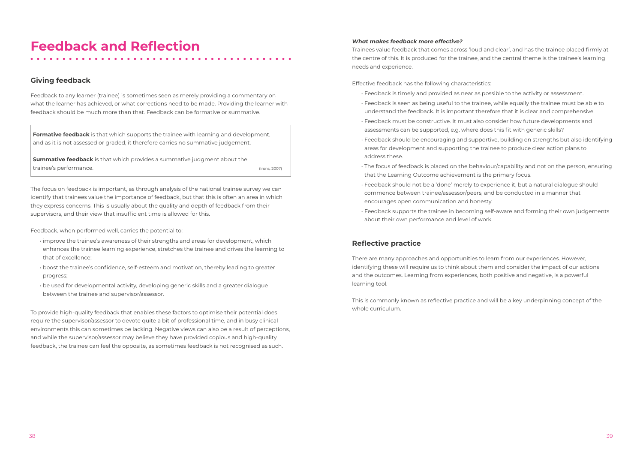## **Feedback and Reflection**

### **Giving feedback**

Feedback to any learner (trainee) is sometimes seen as merely providing a commentary on what the learner has achieved, or what corrections need to be made. Providing the learner with feedback should be much more than that. Feedback can be formative or summative.

**Formative feedback** is that which supports the trainee with learning and development, and as it is not assessed or graded, it therefore carries no summative judgement.

**Summative feedback** is that which provides a summative judgment about the trainee's performance. The contract of the contract of the contract of the contract of the contract of the contract of the contract of the contract of the contract of the contract of the contract of the contract of the con

The focus on feedback is important, as through analysis of the national trainee survey we can identify that trainees value the importance of feedback, but that this is often an area in which they express concerns. This is usually about the quality and depth of feedback from their supervisors, and their view that insufficient time is allowed for this.

Feedback, when performed well, carries the potential to:

- improve the trainee's awareness of their strengths and areas for development, which enhances the trainee learning experience, stretches the trainee and drives the learning to that of excellence;
- boost the trainee's confidence, self-esteem and motivation, thereby leading to greater progress;
- be used for developmental activity, developing generic skills and a greater dialogue between the trainee and supervisor/assessor.

To provide high-quality feedback that enables these factors to optimise their potential does require the supervisor/assessor to devote quite a bit of professional time, and in busy clinical environments this can sometimes be lacking. Negative views can also be a result of perceptions, and while the supervisor/assessor may believe they have provided copious and high-quality feedback, the trainee can feel the opposite, as sometimes feedback is not recognised as such.

#### *What makes feedback more effective?*

Trainees value feedback that comes across 'loud and clear', and has the trainee placed firmly at the centre of this. It is produced for the trainee, and the central theme is the trainee's learning needs and experience.

Effective feedback has the following characteristics:

- Feedback is timely and provided as near as possible to the activity or assessment.
- Feedback is seen as being useful to the trainee, while equally the trainee must be able to understand the feedback. It is important therefore that it is clear and comprehensive.
- Feedback must be constructive. It must also consider how future developments and assessments can be supported, e.g. where does this fit with generic skills?
- Feedback should be encouraging and supportive, building on strengths but also identifying areas for development and supporting the trainee to produce clear action plans to address these.
- The focus of feedback is placed on the behaviour/capability and not on the person, ensuring that the Learning Outcome achievement is the primary focus.
- Feedback should not be a 'done' merely to experience it, but a natural dialogue should commence between trainee/assessor/peers, and be conducted in a manner that encourages open communication and honesty.
- Feedback supports the trainee in becoming self-aware and forming their own judgements about their own performance and level of work.

### **Reflective practice**

There are many approaches and opportunities to learn from our experiences. However, identifying these will require us to think about them and consider the impact of our actions and the outcomes. Learning from experiences, both positive and negative, is a powerful learning tool.

This is commonly known as reflective practice and will be a key underpinning concept of the whole curriculum.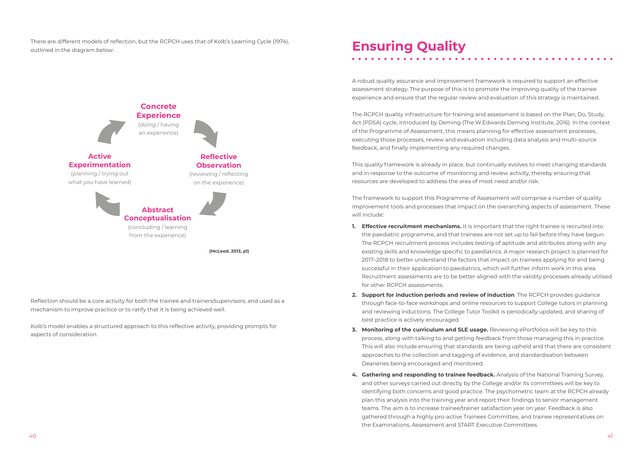There are different models of reflection, but the RCPCH uses that of Kolb's Learning Cycle (1974), outlined in the diagram below:

Reflection should be a core activity for both the trainee and trainers/supervisors, and used as a mechanism to improve practice or to ratify that it is being achieved well.

Kolb's model enables a structured approach to this reflective activity, providing prompts for aspects of consideration.

# **Ensuring Quality**

A robust quality assurance and improvement framework is required to support an effective assessment strategy. The purpose of this is to promote the improving quality of the trainee experience and ensure that the regular review and evaluation of this strategy is maintained.

The RCPCH quality infrastructure for training and assessment is based on the Plan, Do, Study, Act (PDSA) cycle, introduced by Deming (The W.Edwards Deming Institute, 2016). In the context of the Programme of Assessment, this means planning for effective assessment processes, executing those processes, review and evaluation including data analysis and multi-source feedback, and finally implementing any required changes.

This quality framework is already in place, but continually evolves to meet changing standards and in response to the outcome of monitoring and review activity, thereby ensuring that resources are developed to address the area of most need and/or risk.

The framework to support this Programme of Assessment will comprise a number of quality improvement tools and processes that impact on the overarching aspects of assessment. These will include:

- **1. Effective recruitment mechanisms.** It is important that the right trainee is recruited into the paediatric programme, and that trainees are not set up to fail before they have begun. The RCPCH recruitment process includes testing of aptitude and attributes along with any existing skills and knowledge specific to paediatrics. A major research project is planned for 2017–2018 to better understand the factors that impact on trainees applying for and being successful in their application to paediatrics, which will further inform work in this area. for other RCPCH assessments.
- **2. Support for induction periods and review of induction**. The RCPCH provides guidance through face-to-face workshops and online resources to support College tutors in planning and reviewing inductions. The College Tutor Toolkit is periodically updated, and sharing of best practice is actively encouraged.
- **3. Monitoring of the curriculum and SLE usage.** Reviewing ePortfolios will be key to this process, along with talking to and getting feedback from those managing this in practice. approaches to the collection and tagging of evidence, and standardisation between Deaneries being encouraged and monitored.
- **4. Gathering and responding to trainee feedback.** Analysis of the National Training Survey, and other surveys carried out directly by the College and/or its committees will be key to identifying both concerns and good practice. The psychometric team at the RCPCH already plan this analysis into the training year and report their findings to senior management teams. The aim is to increase trainee/trainer satisfaction year on year. Feedback is also gathered through a highly pro-active Trainees Committee, and trainee representatives on the Examinations, Assessment and START Executive Committees.



Recruitment assessments are to be better aligned with the validity processes already utilised

This will also include ensuring that standards are being upheld and that there are consistent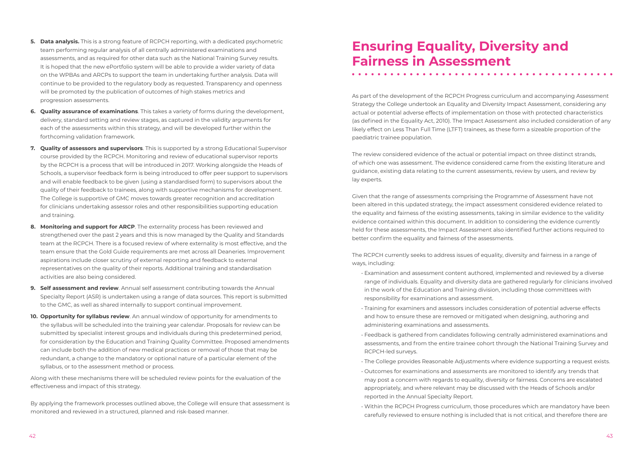- **5. Data analysis.** This is a strong feature of RCPCH reporting, with a dedicated psychometric team performing regular analysis of all centrally administered examinations and assessments, and as required for other data such as the National Training Survey results. It is hoped that the new ePortfolio system will be able to provide a wider variety of data on the WPBAs and ARCPs to support the team in undertaking further analysis. Data will continue to be provided to the regulatory body as requested. Transparency and openness will be promoted by the publication of outcomes of high stakes metrics and progression assessments.
- **6. Quality assurance of examinations**. This takes a variety of forms during the development, delivery, standard setting and review stages, as captured in the validity arguments for each of the assessments within this strategy, and will be developed further within the forthcoming validation framework.
- **7. Quality of assessors and supervisors**. This is supported by a strong Educational Supervisor course provided by the RCPCH. Monitoring and review of educational supervisor reports by the RCPCH is a process that will be introduced in 2017. Working alongside the Heads of Schools, a supervisor feedback form is being introduced to offer peer support to supervisors and will enable feedback to be given (using a standardised form) to supervisors about the quality of their feedback to trainees, along with supportive mechanisms for development. The College is supportive of GMC moves towards greater recognition and accreditation for clinicians undertaking assessor roles and other responsibilities supporting education and training.
- **8. Monitoring and support for ARCP**. The externality process has been reviewed and strengthened over the past 2 years and this is now managed by the Quality and Standards team at the RCPCH. There is a focused review of where externality is most effective, and the team ensure that the Gold Guide requirements are met across all Deaneries. Improvement aspirations include closer scrutiny of external reporting and feedback to external representatives on the quality of their reports. Additional training and standardisation activities are also being considered.
- **9. Self assessment and review**. Annual self assessment contributing towards the Annual Specialty Report (ASR) is undertaken using a range of data sources. This report is submitted to the GMC, as well as shared internally to support continual improvement.
- **10. Opportunity for syllabus review**. An annual window of opportunity for amendments to the syllabus will be scheduled into the training year calendar. Proposals for review can be submitted by specialist interest groups and individuals during this predetermined period, for consideration by the Education and Training Quality Committee. Proposed amendments can include both the addition of new medical practices or removal of those that may be redundant, a change to the mandatory or optional nature of a particular element of the syllabus, or to the assessment method or process.

Along with these mechanisms there will be scheduled review points for the evaluation of the effectiveness and impact of this strategy.

By applying the framework processes outlined above, the College will ensure that assessment is monitored and reviewed in a structured, planned and risk-based manner.

# **Ensuring Equality, Diversity and Fairness in Assessment**

As part of the development of the RCPCH Progress curriculum and accompanying Assessment Strategy the College undertook an Equality and Diversity Impact Assessment, considering any actual or potential adverse effects of implementation on those with protected characteristics (as defined in the Equality Act, 2010). The Impact Assessment also included consideration of any likely effect on Less Than Full Time (LTFT) trainees, as these form a sizeable proportion of the paediatric trainee population.

The review considered evidence of the actual or potential impact on three distinct strands, of which one was assessment. The evidence considered came from the existing literature and guidance, existing data relating to the current assessments, review by users, and review by lay experts.

Given that the range of assessments comprising the Programme of Assessment have not been altered in this updated strategy, the impact assessment considered evidence related to the equality and fairness of the existing assessments, taking in similar evidence to the validity evidence contained within this document. In addition to considering the evidence currently held for these assessments, the Impact Assessment also identified further actions required to better confirm the equality and fairness of the assessments.

The RCPCH currently seeks to address issues of equality, diversity and fairness in a range of ways, including:

range of individuals. Equality and diversity data are gathered regularly for clinicians involved

 $\begin{array}{cccccccccccccc} \bullet & \bullet & \bullet & \bullet & \bullet & \bullet & \bullet \end{array}$ 

- Examination and assessment content authored, implemented and reviewed by a diverse in the work of the Education and Training division, including those committees with responsibility for examinations and assessment.
- Training for examiners and assessors includes consideration of potential adverse effects and how to ensure these are removed or mitigated when designing, authoring and administering examinations and assessments.
- Feedback is gathered from candidates following centrally administered examinations and RCPCH-led surveys.
- The College provides Reasonable Adjustments where evidence supporting a request exists.
- Outcomes for examinations and assessments are monitored to identify any trends that may post a concern with regards to equality, diversity or fairness. Concerns are escalated appropriately, and where relevant may be discussed with the Heads of Schools and/or reported in the Annual Specialty Report.
- Within the RCPCH Progress curriculum, those procedures which are mandatory have been carefully reviewed to ensure nothing is included that is not critical, and therefore there are

assessments, and from the entire trainee cohort through the National Training Survey and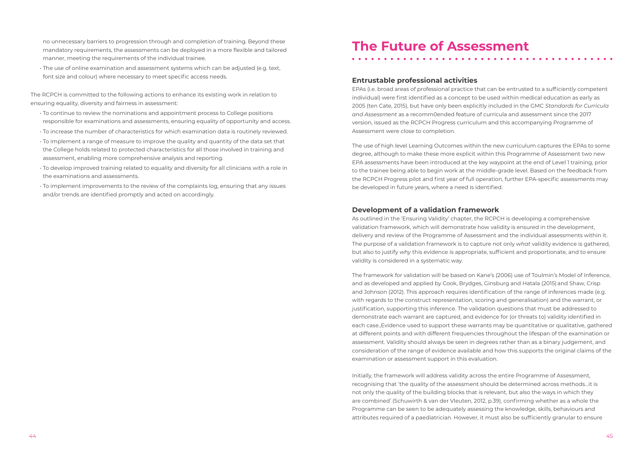no unnecessary barriers to progression through and completion of training. Beyond these mandatory requirements, the assessments can be deployed in a more flexible and tailored manner, meeting the requirements of the individual trainee.

• The use of online examination and assessment systems which can be adjusted (e.g. text, font size and colour) where necessary to meet specific access needs.

The RCPCH is committed to the following actions to enhance its existing work in relation to ensuring equality, diversity and fairness in assessment:

- To continue to review the nominations and appointment process to College positions responsible for examinations and assessments, ensuring equality of opportunity and access.
- To increase the number of characteristics for which examination data is routinely reviewed.
- To implement a range of measure to improve the quality and quantity of the data set that the College holds related to protected characteristics for all those involved in training and assessment, enabling more comprehensive analysis and reporting.
- To develop improved training related to equality and diversity for all clinicians with a role in the examinations and assessments.
- To implement improvements to the review of the complaints log, ensuring that any issues and/or trends are identified promptly and acted on accordingly.

# **The Future of Assessment**

#### **Entrustable professional activities**

EPAs (i.e. broad areas of professional practice that can be entrusted to a sufficiently competent individual) were first identified as a concept to be used within medical education as early as 2005 (ten Cate, 2015), but have only been explicitly included in the GMC *Standards for Curricula and Assessment* as a recomm0ended feature of curricula and assessment since the 2017 version, issued as the RCPCH Progress curriculum and this accompanying Programme of Assessment were close to completion.

The use of high level Learning Outcomes within the new curriculum captures the EPAs to some degree, although to make these more explicit within this Programme of Assessment two new EPA assessments have been introduced at the key waypoint at the end of Level 1 training, prior to the trainee being able to begin work at the middle-grade level. Based on the feedback from the RCPCH Progress pilot and first year of full operation, further EPA-specific assessments may be developed in future years, where a need is identified.

### **Development of a validation framework**

As outlined in the 'Ensuring Validity' chapter, the RCPCH is developing a comprehensive validation framework, which will demonstrate how validity is ensured in the development, delivery and review of the Programme of Assessment and the individual assessments within it. The purpose of a validation framework is to capture not only *what* validity evidence is gathered, but also to justify *why* this evidence is appropriate, sufficient and proportionate, and to ensure validity is considered in a systematic way.

The framework for validation will be based on Kane's (2006) use of Toulmin's Model of Inference, and as developed and applied by Cook, Brydges, Ginsburg and Hatala (2015) and Shaw, Crisp and Johnson (2012). This approach requires identification of the range of inferences made (e.g. with regards to the construct representation, scoring and generalisation) and the warrant, or justification, supporting this inference. The validation questions that must be addressed to demonstrate each warrant are captured, and evidence for (or threats to) validity identified in each case.,Evidence used to support these warrants may be quantitative or qualitative, gathered at different points and with different frequencies throughout the lifespan of the examination or assessment. Validity should always be seen in degrees rather than as a binary judgement, and consideration of the range of evidence available and how this supports the original claims of the examination or assessment support in this evaluation.

Initially, the framework will address validity across the entire Programme of Assessment, recognising that 'the quality of the assessment should be determined across methods…it is not only the quality of the building blocks that is relevant, but also the ways in which they are combined' (Schuwirth & van der Vleuten, 2012, p.39), confirming whether as a whole the Programme can be seen to be adequately assessing the knowledge, skills, behaviours and attributes required of a paediatrician. However, it must also be sufficiently granular to ensure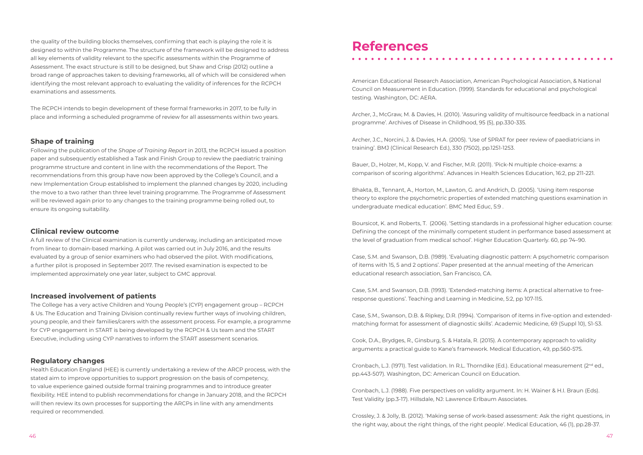the quality of the building blocks themselves, confirming that each is playing the role it is designed to within the Programme. The structure of the framework will be designed to address all key elements of validity relevant to the specific assessments within the Programme of Assessment. The exact structure is still to be designed, but Shaw and Crisp (2012) outline a broad range of approaches taken to devising frameworks, all of which will be considered when identifying the most relevant approach to evaluating the validity of inferences for the RCPCH examinations and assessments.

The RCPCH intends to begin development of these formal frameworks in 2017, to be fully in place and informing a scheduled programme of review for all assessments within two years.

#### **Shape of training**

Following the publication of the *Shape of Training Report* in 2013, the RCPCH issued a position paper and subsequently established a Task and Finish Group to review the paediatric training programme structure and content in line with the recommendations of the Report. The recommendations from this group have now been approved by the College's Council, and a new Implementation Group established to implement the planned changes by 2020, including the move to a two rather than three level training programme. The Programme of Assessment will be reviewed again prior to any changes to the training programme being rolled out, to ensure its ongoing suitability.

#### **Clinical review outcome**

A full review of the Clinical examination is currently underway, including an anticipated move from linear to domain-based marking. A pilot was carried out in July 2016, and the results evaluated by a group of senior examiners who had observed the pilot. With modifications, a further pilot is proposed in September 2017. The revised examination is expected to be implemented approximately one year later, subject to GMC approval.

#### **Increased involvement of patients**

The College has a very active Children and Young People's (CYP) engagement group – RCPCH & Us. The Education and Training Division continually review further ways of involving children, young people, and their families/carers with the assessment process. For example, a programme for CYP engagement in START is being developed by the RCPCH & Us team and the START Executive, including using CYP narratives to inform the START assessment scenarios.

#### **Regulatory changes**

Cronbach, L.J. (1971). Test validation. In R.L. Thorndike (Ed.). Educational measurement (2<sup>nd</sup> ed., pp.443-507). Washington, DC: American Council on Education.

Health Education England (HEE) is currently undertaking a review of the ARCP process, with the stated aim to improve opportunities to support progression on the basis of competency, to value experience gained outside formal training programmes and to introduce greater flexibility. HEE intend to publish recommendations for change in January 2018, and the RCPCH will then review its own processes for supporting the ARCPs in line with any amendments required or recommended.

### **References**

American Educational Research Association, American Psychological Association, & National Council on Measurement in Education. (1999). Standards for educational and psychological testing. Washington, DC: AERA.

Archer, J., McGraw, M. & Davies, H. (2010). 'Assuring validity of multisource feedback in a national programme'. Archives of Disease in Childhood, 95 (5), pp.330-335.

Archer, J.C., Norcini, J. & Davies, H.A. (2005). 'Use of SPRAT for peer review of paediatricians in training'. BMJ (Clinical Research Ed.), 330 (7502), pp.1251-1253.

Bauer, D., Holzer, M., Kopp, V. and Fischer, M.R. (2011). 'Pick-N multiple choice-exams: a comparison of scoring algorithms'. Advances in Health Sciences Education, 16:2, pp 211-221.

Bhakta, B., Tennant, A., Horton, M., Lawton, G. and Andrich, D. (2005). 'Using item response theory to explore the psychometric properties of extended matching questions examination in undergraduate medical education'. BMC Med Educ, 5:9 .

Boursicot, K. and Roberts, T. (2006). 'Setting standards in a professional higher education course: Defining the concept of the minimally competent student in performance based assessment at the level of graduation from medical school'. Higher Education Quarterly. 60, pp 74–90.

Case, S.M. and Swanson, D.B. (1989). 'Evaluating diagnostic pattern: A psychometric comparison of items with 15, 5 and 2 options'. Paper presented at the annual meeting of the American educational research association, San Francisco, CA.

Case, S.M. and Swanson, D.B. (1993). 'Extended‐matching items: A practical alternative to free‐ response questions'. Teaching and Learning in Medicine, 5:2, pp 107-115.

Case, S.M., Swanson, D.B. & Ripkey, D.R. (1994). 'Comparison of items in five-option and extendedmatching format for assessment of diagnostic skills'. Academic Medicine, 69 (Suppl 10), S1-S3.

Cook, D.A., Brydges, R., Ginsburg, S. & Hatala, R. (2015). A contemporary approach to validity arguments: a practical guide to Kane's framework. Medical Education, 49, pp.560-575.

Cronbach, L.J. (1988). Five perspectives on validity argument. In: H. Wainer & H.I. Braun (Eds). Test Validity (pp.3-17). Hillsdale, NJ: Lawrence Erlbaum Associates.

Crossley, J. & Jolly, B. (2012). 'Making sense of work-based assessment: Ask the right questions, in the right way, about the right things, of the right people'. Medical Education, 46 (1), pp.28-37.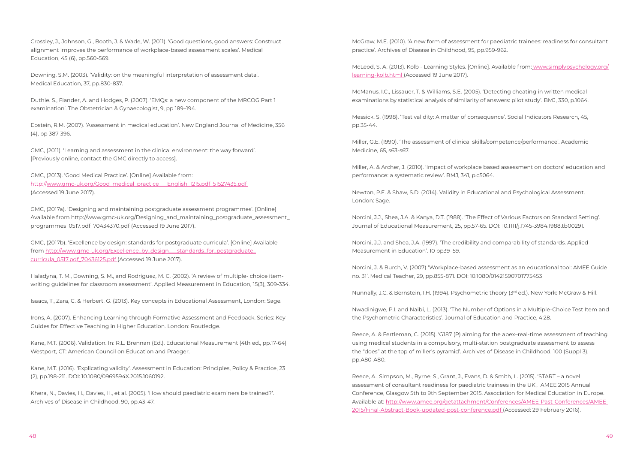Crossley, J., Johnson, G., Booth, J. & Wade, W. (2011). 'Good questions, good answers: Construct alignment improves the performance of workplace-based assessment scales'. Medical Education, 45 (6), pp.560-569.

Downing, S.M. (2003). 'Validity: on the meaningful interpretation of assessment data'. Medical Education, 37, pp.830-837.

Duthie. S., Fiander, A. and Hodges, P. (2007). 'EMQs: a new component of the MRCOG Part 1 examination'. The Obstetrician & Gynaecologist, 9, pp 189–194.

Epstein, R.M. (2007). 'Assessment in medical education'. New England Journal of Medicine, 356 (4), pp 387-396.

GMC, (2011). 'Learning and assessment in the clinical environment: the way forward'. [Previously online, contact the GMC directly to access].

GMC, (2013). 'Good Medical Practice'. [Online] Available from: http://[www.gmc-uk.org/Good\\_medical\\_practice\\_\\_\\_English\\_1215.pdf\\_51527435.pdf](http://www.gmc-uk.org/Good_medical_practice___English_1215.pdf_51527435.pdf)  (Accessed 19 June 2017).

GMC, (2017a). 'Designing and maintaining postgraduate assessment programmes'. [Online] Available from [http://www.gmc-uk.org/Designing\\_and\\_maintaining\\_postgraduate\\_assessment\\_](http://www.gmc-uk.org/Designing_and_maintaining_postgraduate_assessment_programmes_0517.pdf_70434370.pdf) [programmes\\_0517.pdf\\_70434370.pdf](http://www.gmc-uk.org/Designing_and_maintaining_postgraduate_assessment_programmes_0517.pdf_70434370.pdf) (Accessed 19 June 2017).

GMC, (2017b). 'Excellence by design: standards for postgraduate curricula'. [Online] Available from [http://www.gmc-uk.org/Excellence\\_by\\_design\\_\\_\\_standards\\_for\\_postgraduate\\_](http://www.gmc-uk.org/Excellence_by_design___standards_for_postgraduate_curricula_0517.pdf_70436125.pdf%20) [curricula\\_0517.pdf\\_70436125.pdf](http://www.gmc-uk.org/Excellence_by_design___standards_for_postgraduate_curricula_0517.pdf_70436125.pdf%20) (Accessed 19 June 2017).

Haladyna, T. M., Downing, S. M., and Rodriguez, M. C. (2002). 'A review of multiple- choice itemwriting guidelines for classroom assessment'. Applied Measurement in Education, 15(3), 309-334.

Isaacs, T., Zara, C. & Herbert, G. (2013). Key concepts in Educational Assessment, London: Sage.

Irons, A. (2007). Enhancing Learning through Formative Assessment and Feedback. Series: Key Guides for Effective Teaching in Higher Education. London: Routledge.

Kane, M.T. (2006). Validation. In: R.L. Brennan (Ed.). Educational Measurement (4th ed., pp.17-64) Westport, CT: American Council on Education and Praeger.

Kane, M.T. (2016). 'Explicating validity'. Assessment in Education: Principles, Policy & Practice, 23 (2), pp.198-211. DOI: 10.1080/0969594X.2015.1060192.

Khera, N., Davies, H., Davies, H., et al. (2005). 'How should paediatric examiners be trained?'. Archives of Disease in Childhood, 90, pp.43-47.

McGraw, M.E. (2010). 'A new form of assessment for paediatric trainees: readiness for consultant practice'. Archives of Disease in Childhood, 95, pp.959-962.

McLeod, S. A. (2013). Kolb - Learning Styles. [Online]. Available from: [www.simplypsychology.org/](http://www.simplypsychology.org/learning-kolb.html) [learning-kolb.html](http://www.simplypsychology.org/learning-kolb.html) (Accessed 19 June 2017).

McManus, I.C., Lissauer, T. & Williams, S.E. (2005). 'Detecting cheating in written medical examinations by statistical analysis of similarity of answers: pilot study'. BMJ, 330, p.1064.

Messick, S. (1998). 'Test validity: A matter of consequence'. Social Indicators Research, 45, pp.35-44.

Miller, G.E. (1990). 'The assessment of clinical skills/competence/performance'. Academic Medicine, 65, s63-s67.

Miller, A. & Archer, J. (2010). 'Impact of workplace based assessment on doctors' education and performance: a systematic review'. BMJ, 341, p.c5064.

Newton, P.E. & Shaw, S.D. (2014). Validity in Educational and Psychological Assessment. London: Sage.

Norcini, J.J., Shea, J.A. & Kanya, D.T. (1988). 'The Effect of Various Factors on Standard Setting'. Journal of Educational Measurement, 25, pp.57-65. DOI: 10.1111/j.1745-3984.1988.tb00291.

Norcini, J.J. and Shea, J.A. (1997). 'The credibility and comparability of standards. Applied Measurement in Education'. 10 pp39–59.

Norcini, J. & Burch, V. (2007) 'Workplace-based assessment as an educational tool: AMEE Guide no. 31'. Medical Teacher, 29, pp.855-871. DOI: 10.1080/01421590701775453

Nunnally, J.C. & Bernstein, I.H. (1994). Psychometric theory (3rd ed.). New York: McGraw & Hill.

Nwadinigwe, P.I. and Naibi, L. (2013). 'The Number of Options in a Multiple-Choice Test Item and the Psychometric Characteristics'. Journal of Education and Practice, 4:28.

Reece, A. & Fertleman, C. (2015). 'G187 (P) aiming for the apex–real-time assessment of teaching using medical students in a compulsory, multi-station postgraduate assessment to assess the "does" at the top of miller's pyramid'. Archives of Disease in Childhood, 100 (Suppl 3), pp.A80-A80.

Reece, A., Simpson, M., Byrne, S., Grant, J., Evans, D. & Smith, L. (2015). 'START – a novel assessment of consultant readiness for paediatric trainees in the UK', AMEE 2015 Annual Conference, Glasgow 5th to 9th September 2015. Association for Medical Education in Europe. Available at: [http://www.amee.org/getattachment/Conferences/AMEE-Past-Conferences/AMEE-](http://http://www.amee.org/getattachment/Conferences/AMEE-Past-Conferences/AMEE-2015/Final-Abstract-Book-updated-post-conference.pdf)[2015/Final-Abstract-Book-updated-post-conference.pdf](http://http://www.amee.org/getattachment/Conferences/AMEE-Past-Conferences/AMEE-2015/Final-Abstract-Book-updated-post-conference.pdf) (Accessed: 29 February 2016).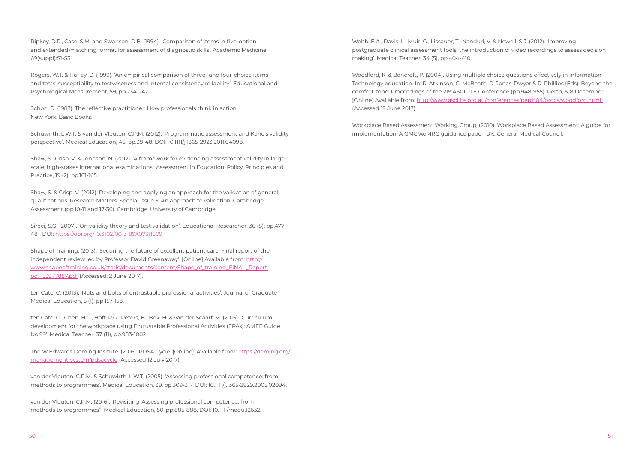Ripkey, D.R., Case, S.M. and Swanson, D.B. (1994). 'Comparison of items in five-option and extended-matching format for assessment of diagnostic skills'. Academic Medicine, 69(suppl):S1-S3.

Rogers, W.T. & Harley, D. (1999). 'An empirical comparison of three- and four-choice items and tests: susceptibility to testwiseness and internal consistency reliability'. Educational and Psychological Measurement, 59, pp.234-247.

Schon, D. (1983). The reflective practitioner: How professionals think in action. New York: Basic Books.

Schuwirth, L.W.T. & van der Vleuten, C.P.M. (2012). 'Programmatic assessment and Kane's validity perspective'. Medical Education, 46, pp.38-48. DOI: 10.1111/j.1365-2923.2011.04098.

Shaw, S., Crisp, V. & Johnson, N. (2012). 'A framework for evidencing assessment validity in largescale, high-stakes international examinations'. Assessment in Education: Policy, Principles and Practice, 19 (2), pp.161-165.

Shaw, S. & Crisp, V. (2012). Developing and applying an approach for the validation of general qualifications. Research Matters. Special Issue 3: An approach to validation. Cambridge Assessment (pp.10-11 and 17-36). Cambridge: University of Cambridge.

Sireci, S.G. (2007). 'On validity theory and test validation'. Educational Researcher, 36 (8), pp.477- 481. DOI: https:/[/doi.org/10.3102/0013189X07311609](http://doi.org/10.3102/0013189X07311609
)

Shape of Training, (2013). 'Securing the future of excellent patient care. Final report of the independent review led by Professor David Greenaway'. [Online] Available from: [http://](http://www.shapeoftraining.co.uk/static/documents/content/Shape_of_training_FINAL_Report.pdf_53977887.pdf) [www.shapeoftraining.co.uk/static/documents/content/Shape\\_of\\_training\\_FINAL\\_Report.](http://www.shapeoftraining.co.uk/static/documents/content/Shape_of_training_FINAL_Report.pdf_53977887.pdf) [pdf\\_53977887.pdf](http://www.shapeoftraining.co.uk/static/documents/content/Shape_of_training_FINAL_Report.pdf_53977887.pdf) (Accessed: 2 June 2017).

ten Cate, O. (2013). 'Nuts and bolts of entrustable professional activities'. Journal of Graduate Medical Education, 5 (1), pp.157-158.

ten Cate, O., Chen, H.C., Hoff, R.G., Peters, H., Bok, H. & van der Scaarf, M. (2015). 'Curriculum development for the workplace using Entrustable Professional Activities (EPAs): AMEE Guide No.99'. Medical Teacher, 37 (11), pp.983-1002.

The W.Edwards Deming Insitute. (2016). PDSA Cycle. [Online]. Available from: [https://deming.org/](https://deming.org/management-system/pdsacycle) [management-system/pdsacycle](https://deming.org/management-system/pdsacycle) (Accessed 12 July 2017).

van der Vleuten, C.P.M. & Schuwirth, L.W.T. (2005). 'Assessing professional competence: from methods to programmes'. Medical Education, 39, pp.309-317. DOI: 10.1111/j.1365-2929.2005.02094.

van der Vleuten, C.P.M. (2016). 'Revisiting 'Assessing professional competence: from methods to programmes''. Medical Education, 50, pp.885-888. DOI: 10.1111/medu.12632. Webb, E.A., Davis, L., Muir, G., Lissauer, T., Nanduri, V. & Newell, S.J. (2012). 'Improving postgraduate clinical assessment tools: the introduction of video recordings to assess decision making'. Medical Teacher, 34 (5), pp.404-410.

Woodford, K. & Bancroft, P. (2004). Using multiple choice questions effectively in Information Technology education. In: R. Atkinson, C. McBeath, D. Jonas-Dwyer & R. Phillips (Eds). Beyond the comfort zone: Proceedings of the 21<sup>st</sup> ASCILITE Conference (pp.948-955). Perth, 5-8 December. [Online] Available from:<http://www.ascilite.org.au/conferences/perth04/procs/woodford.html> (Accessed 19 June 2017).

Workplace Based Assessment Working Group, (2010). Workplace Based Assessment: A guide for implementation. A GMC/AoMRC guidance paper. UK: General Medical Council.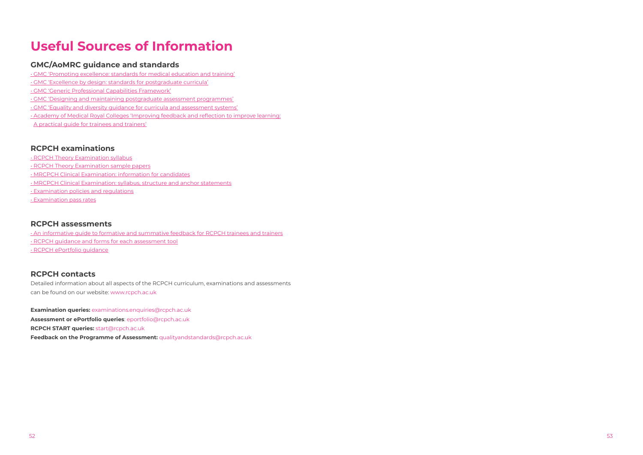

# **Useful Sources of Information**

### **GMC/AoMRC guidance and standards**

- • [GMC 'Promoting excellence: standards for medical education and training'](https://www.gmc-uk.org/Promoting_excellence_standards_for_medical_education_and_training_0715.pdf_61939165.pdf)
- • [GMC 'Excellence by design: standards for postgraduate curricula'](https://www.gmc-uk.org/education/postgraduate/excellence_by_design.asp)
- • [GMC 'Generic Professional Capabilities Framework](https://www.gmc-uk.org/education/postgraduate/GPC.asp)'
- • [GMC 'Designing and maintaining postgraduate assessment programmes](https://www.gmc-uk.org/education/postgraduate/assessment_guidance.asp)'
- • [GMC 'Equality and diversity guidance for curricula and assessment systems](https://www.gmc-uk.org/education/postgraduate/EandD_college.asp)'
- [Academy of Medical Royal Colleges 'Improving feedback and reflection to improve learning:](http://www.aomrc.org.uk/publications/reports-guidance/improving-feedback-reflection-improve-learning-practical-guide-trainees-trainers/)
- [A practical guide for trainees and trainers'](http://www.aomrc.org.uk/publications/reports-guidance/improving-feedback-reflection-improve-learning-practical-guide-trainees-trainers/)

### **RCPCH examinations**

- [RCPCH Theory Examination syllabus](https://www.rcpch.ac.uk/sites/default/files/page/Syllabus%20final%20version%20boards%20Mar%202016%20for%20candidates_5.pdf)
- [RCPCH Theory Examination sample papers](http://www.rcpch.ac.uk/training-examinations-professional-development/assessment-and-examinations/examinations/theory-exa-6)
- [MRCPCH Clinical Examination: information for candidates](http://www.rcpch.ac.uk/system/files/protected/page/MRCPCH%20Clinical%20Examination%20Information%20for%20Candidates%202012-08_0.pdf)
- • [MRCPCH Clinical Examination: syllabus, structure and anchor statements](http://www.rcpch.ac.uk/training-examinations-professional-development/assessment-and-examinations/examinations/mrcpch-clini)
- • [Examination policies and regulations](http://www.rcpch.ac.uk/training-examinations-professional-development/assessment-and-examinations/examinations/policies-and)
- • [Examination pass rates](http://www.rcpch.ac.uk/training-examinations-professional-development/assessment-and-examinations/examinations/pass-rates-a)

#### **RCPCH assessments**

- • [An informative guide to formative and summative feedback for RCPCH trainees and trainers](https://issuu.com/joballrcpch/docs/assessment_guide_3rd_ed_sept_2016_v/2)
- • [RCPCH guidance and forms for each assessment tool](http://www.rcpch.ac.uk/training-examinations-professional-development/assessment-and-examinations/assessment/assessment)
- • [RCPCH ePortfolio guidance](http://www.rcpch.ac.uk/training-examinations-professional-development/assessment-and-examinations/assessment/eportfolio/epo)

#### **RCPCH contacts**

Detailed information about all aspects of the RCPCH curriculum, examinations and assessments can be found on our website: [www.rcpch.ac.uk](http://www.rcpch.ac.uk)

**Examination queries:** [examinations.enquiries@rcpch.ac.uk](mailto:examinations.enquiries@rcpch.ac.uk)

**Assessment or ePortfolio queries**: [eportfolio@rcpch.ac.uk](mailto:eportfolio@rcpch.ac.uk)

**RCPCH START queries:** [start@rcpch.ac.uk](mailto:start@rcpch.ac.uk)

**Feedback on the Programme of Assessment:** [qualityandstandards@rcpch.ac.uk](mailto:qualityandstandards@rcpch.ac.uk)